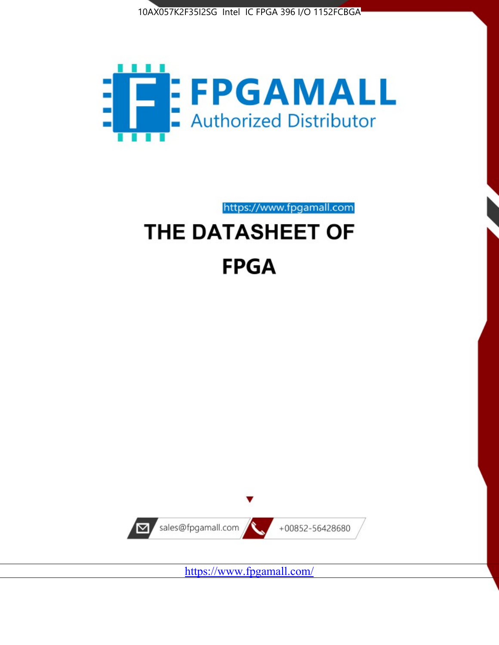



https://www.fpgamall.com

# THE DATASHEET OF **FPGA**



<https://www.fpgamall.com/>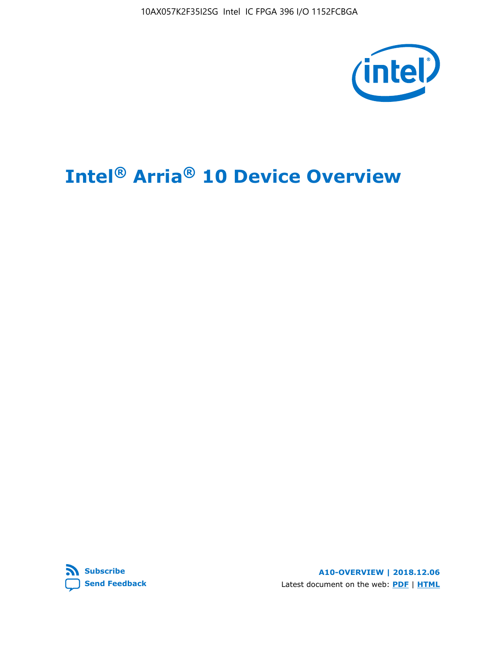10AX057K2F35I2SG Intel IC FPGA 396 I/O 1152FCBGA

![](_page_1_Picture_1.jpeg)

# **Intel® Arria® 10 Device Overview**

![](_page_1_Picture_3.jpeg)

**A10-OVERVIEW | 2018.12.06** Latest document on the web: **[PDF](https://www.intel.com/content/dam/www/programmable/us/en/pdfs/literature/hb/arria-10/a10_overview.pdf)** | **[HTML](https://www.intel.com/content/www/us/en/programmable/documentation/sam1403480274650.html)**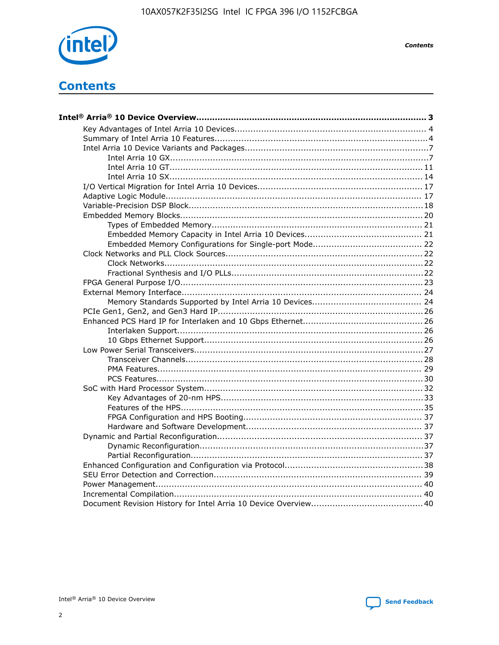![](_page_2_Picture_1.jpeg)

**Contents** 

# **Contents**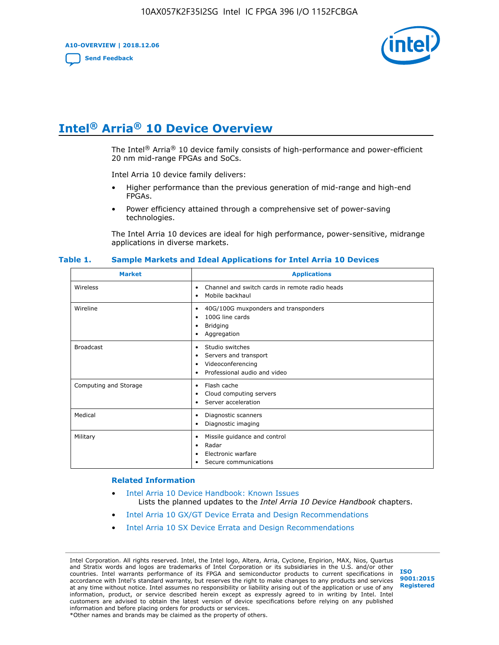**A10-OVERVIEW | 2018.12.06**

**[Send Feedback](mailto:FPGAtechdocfeedback@intel.com?subject=Feedback%20on%20Intel%20Arria%2010%20Device%20Overview%20(A10-OVERVIEW%202018.12.06)&body=We%20appreciate%20your%20feedback.%20In%20your%20comments,%20also%20specify%20the%20page%20number%20or%20paragraph.%20Thank%20you.)**

![](_page_3_Picture_3.jpeg)

# **Intel® Arria® 10 Device Overview**

The Intel<sup>®</sup> Arria<sup>®</sup> 10 device family consists of high-performance and power-efficient 20 nm mid-range FPGAs and SoCs.

Intel Arria 10 device family delivers:

- Higher performance than the previous generation of mid-range and high-end FPGAs.
- Power efficiency attained through a comprehensive set of power-saving technologies.

The Intel Arria 10 devices are ideal for high performance, power-sensitive, midrange applications in diverse markets.

| <b>Market</b>         | <b>Applications</b>                                                                                               |
|-----------------------|-------------------------------------------------------------------------------------------------------------------|
| Wireless              | Channel and switch cards in remote radio heads<br>٠<br>Mobile backhaul<br>٠                                       |
| Wireline              | 40G/100G muxponders and transponders<br>٠<br>100G line cards<br>٠<br><b>Bridging</b><br>٠<br>Aggregation<br>٠     |
| <b>Broadcast</b>      | Studio switches<br>٠<br>Servers and transport<br>٠<br>Videoconferencing<br>٠<br>Professional audio and video<br>٠ |
| Computing and Storage | Flash cache<br>٠<br>Cloud computing servers<br>٠<br>Server acceleration<br>٠                                      |
| Medical               | Diagnostic scanners<br>٠<br>Diagnostic imaging<br>٠                                                               |
| Military              | Missile guidance and control<br>٠<br>Radar<br>٠<br>Electronic warfare<br>٠<br>Secure communications<br>٠          |

#### **Table 1. Sample Markets and Ideal Applications for Intel Arria 10 Devices**

#### **Related Information**

- [Intel Arria 10 Device Handbook: Known Issues](http://www.altera.com/support/kdb/solutions/rd07302013_646.html) Lists the planned updates to the *Intel Arria 10 Device Handbook* chapters.
- [Intel Arria 10 GX/GT Device Errata and Design Recommendations](https://www.intel.com/content/www/us/en/programmable/documentation/agz1493851706374.html#yqz1494433888646)
- [Intel Arria 10 SX Device Errata and Design Recommendations](https://www.intel.com/content/www/us/en/programmable/documentation/cru1462832385668.html#cru1462832558642)

Intel Corporation. All rights reserved. Intel, the Intel logo, Altera, Arria, Cyclone, Enpirion, MAX, Nios, Quartus and Stratix words and logos are trademarks of Intel Corporation or its subsidiaries in the U.S. and/or other countries. Intel warrants performance of its FPGA and semiconductor products to current specifications in accordance with Intel's standard warranty, but reserves the right to make changes to any products and services at any time without notice. Intel assumes no responsibility or liability arising out of the application or use of any information, product, or service described herein except as expressly agreed to in writing by Intel. Intel customers are advised to obtain the latest version of device specifications before relying on any published information and before placing orders for products or services. \*Other names and brands may be claimed as the property of others.

![](_page_3_Picture_17.jpeg)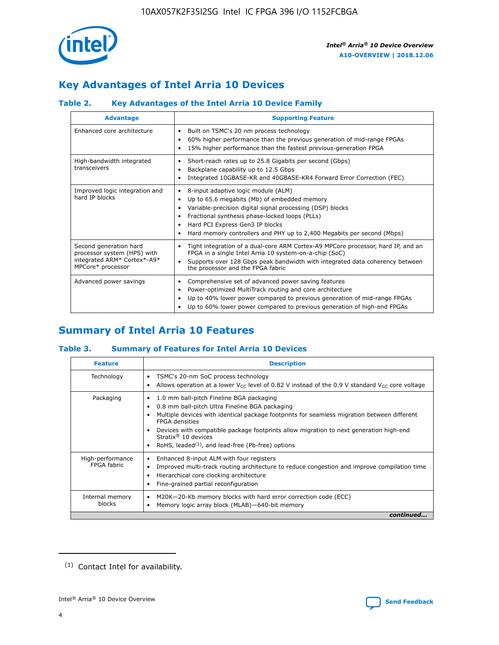![](_page_4_Picture_1.jpeg)

# **Key Advantages of Intel Arria 10 Devices**

# **Table 2. Key Advantages of the Intel Arria 10 Device Family**

| <b>Advantage</b>                                                                                          | <b>Supporting Feature</b>                                                                                                                                                                                                                                                                                                     |
|-----------------------------------------------------------------------------------------------------------|-------------------------------------------------------------------------------------------------------------------------------------------------------------------------------------------------------------------------------------------------------------------------------------------------------------------------------|
| Enhanced core architecture                                                                                | Built on TSMC's 20 nm process technology<br>٠<br>60% higher performance than the previous generation of mid-range FPGAs<br>٠<br>15% higher performance than the fastest previous-generation FPGA<br>٠                                                                                                                         |
| High-bandwidth integrated<br>transceivers                                                                 | Short-reach rates up to 25.8 Gigabits per second (Gbps)<br>٠<br>Backplane capability up to 12.5 Gbps<br>٠<br>Integrated 10GBASE-KR and 40GBASE-KR4 Forward Error Correction (FEC)<br>٠                                                                                                                                        |
| Improved logic integration and<br>hard IP blocks                                                          | 8-input adaptive logic module (ALM)<br>٠<br>Up to 65.6 megabits (Mb) of embedded memory<br>٠<br>Variable-precision digital signal processing (DSP) blocks<br>Fractional synthesis phase-locked loops (PLLs)<br>٠<br>Hard PCI Express Gen3 IP blocks<br>Hard memory controllers and PHY up to 2,400 Megabits per second (Mbps) |
| Second generation hard<br>processor system (HPS) with<br>integrated ARM* Cortex*-A9*<br>MPCore* processor | Tight integration of a dual-core ARM Cortex-A9 MPCore processor, hard IP, and an<br>٠<br>FPGA in a single Intel Arria 10 system-on-a-chip (SoC)<br>Supports over 128 Gbps peak bandwidth with integrated data coherency between<br>$\bullet$<br>the processor and the FPGA fabric                                             |
| Advanced power savings                                                                                    | Comprehensive set of advanced power saving features<br>٠<br>Power-optimized MultiTrack routing and core architecture<br>٠<br>Up to 40% lower power compared to previous generation of mid-range FPGAs<br>٠<br>Up to 60% lower power compared to previous generation of high-end FPGAs                                         |

# **Summary of Intel Arria 10 Features**

## **Table 3. Summary of Features for Intel Arria 10 Devices**

| <b>Feature</b>                  | <b>Description</b>                                                                                                                                                                                                                                                                                                                                                                                           |
|---------------------------------|--------------------------------------------------------------------------------------------------------------------------------------------------------------------------------------------------------------------------------------------------------------------------------------------------------------------------------------------------------------------------------------------------------------|
| Technology                      | TSMC's 20-nm SoC process technology<br>Allows operation at a lower $V_{\text{CC}}$ level of 0.82 V instead of the 0.9 V standard $V_{\text{CC}}$ core voltage                                                                                                                                                                                                                                                |
| Packaging                       | 1.0 mm ball-pitch Fineline BGA packaging<br>٠<br>0.8 mm ball-pitch Ultra Fineline BGA packaging<br>Multiple devices with identical package footprints for seamless migration between different<br><b>FPGA</b> densities<br>Devices with compatible package footprints allow migration to next generation high-end<br>Stratix <sup>®</sup> 10 devices<br>RoHS, leaded $(1)$ , and lead-free (Pb-free) options |
| High-performance<br>FPGA fabric | Enhanced 8-input ALM with four registers<br>Improved multi-track routing architecture to reduce congestion and improve compilation time<br>Hierarchical core clocking architecture<br>Fine-grained partial reconfiguration                                                                                                                                                                                   |
| Internal memory<br>blocks       | M20K-20-Kb memory blocks with hard error correction code (ECC)<br>Memory logic array block (MLAB)-640-bit memory                                                                                                                                                                                                                                                                                             |
|                                 | continued                                                                                                                                                                                                                                                                                                                                                                                                    |

![](_page_4_Picture_12.jpeg)

<sup>(1)</sup> Contact Intel for availability.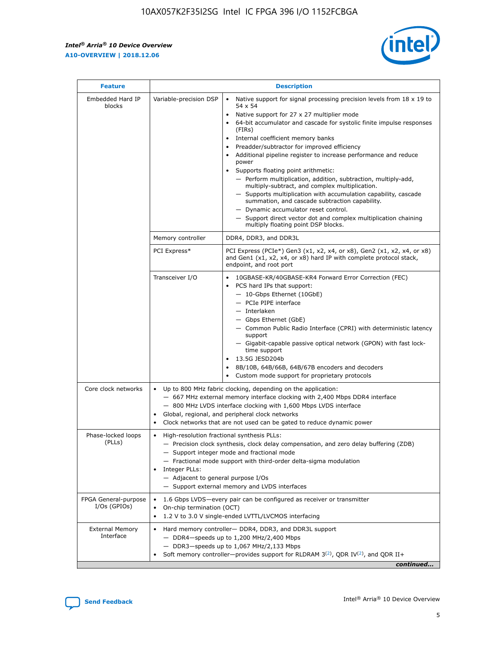r

![](_page_5_Picture_2.jpeg)

| <b>Feature</b>                         |                                                                                                                | <b>Description</b>                                                                                                                                                                                                                                                                                                                                                                                                                                                                                                                                                                                                                                                                                                                                                                                                                     |  |  |  |  |  |  |
|----------------------------------------|----------------------------------------------------------------------------------------------------------------|----------------------------------------------------------------------------------------------------------------------------------------------------------------------------------------------------------------------------------------------------------------------------------------------------------------------------------------------------------------------------------------------------------------------------------------------------------------------------------------------------------------------------------------------------------------------------------------------------------------------------------------------------------------------------------------------------------------------------------------------------------------------------------------------------------------------------------------|--|--|--|--|--|--|
| Embedded Hard IP<br>blocks             | Variable-precision DSP                                                                                         | Native support for signal processing precision levels from $18 \times 19$ to<br>54 x 54<br>Native support for 27 x 27 multiplier mode<br>64-bit accumulator and cascade for systolic finite impulse responses<br>(FIRs)<br>Internal coefficient memory banks<br>$\bullet$<br>Preadder/subtractor for improved efficiency<br>Additional pipeline register to increase performance and reduce<br>power<br>Supports floating point arithmetic:<br>- Perform multiplication, addition, subtraction, multiply-add,<br>multiply-subtract, and complex multiplication.<br>- Supports multiplication with accumulation capability, cascade<br>summation, and cascade subtraction capability.<br>- Dynamic accumulator reset control.<br>- Support direct vector dot and complex multiplication chaining<br>multiply floating point DSP blocks. |  |  |  |  |  |  |
|                                        | Memory controller                                                                                              | DDR4, DDR3, and DDR3L                                                                                                                                                                                                                                                                                                                                                                                                                                                                                                                                                                                                                                                                                                                                                                                                                  |  |  |  |  |  |  |
|                                        | PCI Express*                                                                                                   | PCI Express (PCIe*) Gen3 (x1, x2, x4, or x8), Gen2 (x1, x2, x4, or x8)<br>and Gen1 (x1, x2, x4, or x8) hard IP with complete protocol stack,<br>endpoint, and root port                                                                                                                                                                                                                                                                                                                                                                                                                                                                                                                                                                                                                                                                |  |  |  |  |  |  |
|                                        | Transceiver I/O                                                                                                | 10GBASE-KR/40GBASE-KR4 Forward Error Correction (FEC)<br>PCS hard IPs that support:<br>$\bullet$<br>- 10-Gbps Ethernet (10GbE)<br>- PCIe PIPE interface<br>$-$ Interlaken<br>- Gbps Ethernet (GbE)<br>- Common Public Radio Interface (CPRI) with deterministic latency<br>support<br>- Gigabit-capable passive optical network (GPON) with fast lock-<br>time support<br>13.5G JESD204b<br>$\bullet$<br>8B/10B, 64B/66B, 64B/67B encoders and decoders<br>Custom mode support for proprietary protocols                                                                                                                                                                                                                                                                                                                               |  |  |  |  |  |  |
| Core clock networks                    | $\bullet$<br>$\bullet$                                                                                         | Up to 800 MHz fabric clocking, depending on the application:<br>- 667 MHz external memory interface clocking with 2,400 Mbps DDR4 interface<br>- 800 MHz LVDS interface clocking with 1,600 Mbps LVDS interface<br>Global, regional, and peripheral clock networks<br>Clock networks that are not used can be gated to reduce dynamic power                                                                                                                                                                                                                                                                                                                                                                                                                                                                                            |  |  |  |  |  |  |
| Phase-locked loops<br>(PLLs)           | High-resolution fractional synthesis PLLs:<br>$\bullet$<br>Integer PLLs:<br>- Adjacent to general purpose I/Os | - Precision clock synthesis, clock delay compensation, and zero delay buffering (ZDB)<br>- Support integer mode and fractional mode<br>- Fractional mode support with third-order delta-sigma modulation<br>- Support external memory and LVDS interfaces                                                                                                                                                                                                                                                                                                                                                                                                                                                                                                                                                                              |  |  |  |  |  |  |
| FPGA General-purpose<br>$I/Os$ (GPIOs) | On-chip termination (OCT)                                                                                      | 1.6 Gbps LVDS-every pair can be configured as receiver or transmitter<br>1.2 V to 3.0 V single-ended LVTTL/LVCMOS interfacing                                                                                                                                                                                                                                                                                                                                                                                                                                                                                                                                                                                                                                                                                                          |  |  |  |  |  |  |
| <b>External Memory</b><br>Interface    |                                                                                                                | Hard memory controller- DDR4, DDR3, and DDR3L support<br>$-$ DDR4-speeds up to 1,200 MHz/2,400 Mbps<br>- DDR3-speeds up to 1,067 MHz/2,133 Mbps<br>Soft memory controller—provides support for RLDRAM $3^{(2)}$ , QDR IV $^{(2)}$ , and QDR II+<br>continued                                                                                                                                                                                                                                                                                                                                                                                                                                                                                                                                                                           |  |  |  |  |  |  |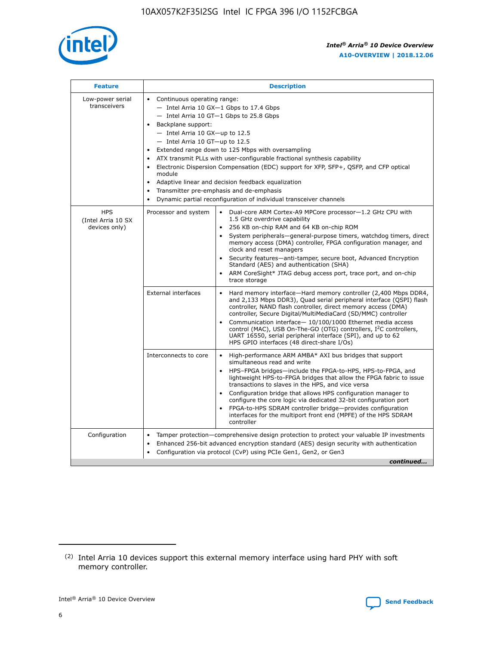![](_page_6_Picture_1.jpeg)

| <b>Feature</b>                                    | <b>Description</b>                                                                                                                                                                                                                                                                                                                                                                                                                                                                                                                                                                                                                                      |
|---------------------------------------------------|---------------------------------------------------------------------------------------------------------------------------------------------------------------------------------------------------------------------------------------------------------------------------------------------------------------------------------------------------------------------------------------------------------------------------------------------------------------------------------------------------------------------------------------------------------------------------------------------------------------------------------------------------------|
| Low-power serial<br>transceivers                  | • Continuous operating range:<br>- Intel Arria 10 GX-1 Gbps to 17.4 Gbps<br>- Intel Arria 10 GT-1 Gbps to 25.8 Gbps<br>Backplane support:<br>$-$ Intel Arria 10 GX-up to 12.5<br>$-$ Intel Arria 10 GT-up to 12.5<br>Extended range down to 125 Mbps with oversampling<br>ATX transmit PLLs with user-configurable fractional synthesis capability<br>Electronic Dispersion Compensation (EDC) support for XFP, SFP+, QSFP, and CFP optical<br>module<br>Adaptive linear and decision feedback equalization<br>$\bullet$<br>Transmitter pre-emphasis and de-emphasis<br>$\bullet$<br>Dynamic partial reconfiguration of individual transceiver channels |
| <b>HPS</b><br>(Intel Arria 10 SX<br>devices only) | • Dual-core ARM Cortex-A9 MPCore processor-1.2 GHz CPU with<br>Processor and system<br>1.5 GHz overdrive capability<br>256 KB on-chip RAM and 64 KB on-chip ROM<br>$\bullet$<br>System peripherals—general-purpose timers, watchdog timers, direct<br>memory access (DMA) controller, FPGA configuration manager, and<br>clock and reset managers<br>Security features—anti-tamper, secure boot, Advanced Encryption<br>$\bullet$<br>Standard (AES) and authentication (SHA)<br>ARM CoreSight* JTAG debug access port, trace port, and on-chip<br>$\bullet$<br>trace storage                                                                            |
|                                                   | <b>External interfaces</b><br>Hard memory interface-Hard memory controller (2,400 Mbps DDR4,<br>$\bullet$<br>and 2,133 Mbps DDR3), Quad serial peripheral interface (QSPI) flash<br>controller, NAND flash controller, direct memory access (DMA)<br>controller, Secure Digital/MultiMediaCard (SD/MMC) controller<br>Communication interface-10/100/1000 Ethernet media access<br>$\bullet$<br>control (MAC), USB On-The-GO (OTG) controllers, I <sup>2</sup> C controllers,<br>UART 16550, serial peripheral interface (SPI), and up to 62<br>HPS GPIO interfaces (48 direct-share I/Os)                                                              |
|                                                   | High-performance ARM AMBA* AXI bus bridges that support<br>Interconnects to core<br>$\bullet$<br>simultaneous read and write<br>HPS-FPGA bridges-include the FPGA-to-HPS, HPS-to-FPGA, and<br>$\bullet$<br>lightweight HPS-to-FPGA bridges that allow the FPGA fabric to issue<br>transactions to slaves in the HPS, and vice versa<br>Configuration bridge that allows HPS configuration manager to<br>configure the core logic via dedicated 32-bit configuration port<br>FPGA-to-HPS SDRAM controller bridge-provides configuration<br>interfaces for the multiport front end (MPFE) of the HPS SDRAM<br>controller                                  |
| Configuration                                     | Tamper protection—comprehensive design protection to protect your valuable IP investments<br>Enhanced 256-bit advanced encryption standard (AES) design security with authentication<br>٠<br>Configuration via protocol (CvP) using PCIe Gen1, Gen2, or Gen3<br>continued                                                                                                                                                                                                                                                                                                                                                                               |

<sup>(2)</sup> Intel Arria 10 devices support this external memory interface using hard PHY with soft memory controller.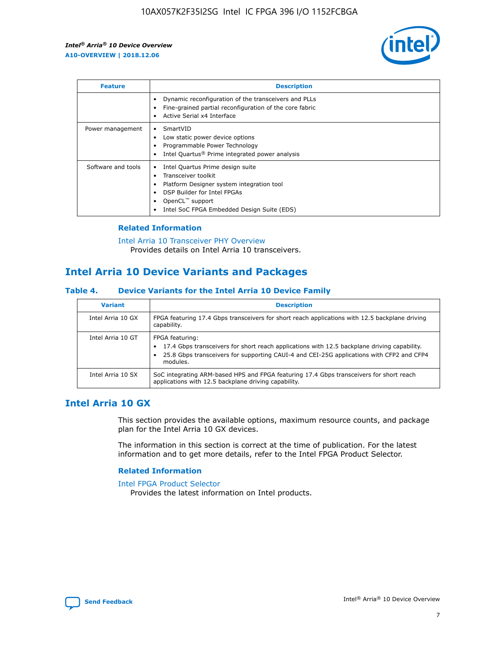![](_page_7_Picture_2.jpeg)

| <b>Feature</b>     | <b>Description</b>                                                                                                                                                                                               |
|--------------------|------------------------------------------------------------------------------------------------------------------------------------------------------------------------------------------------------------------|
|                    | Dynamic reconfiguration of the transceivers and PLLs<br>Fine-grained partial reconfiguration of the core fabric<br>Active Serial x4 Interface<br>$\bullet$                                                       |
| Power management   | SmartVID<br>Low static power device options<br>Programmable Power Technology<br>Intel Quartus <sup>®</sup> Prime integrated power analysis                                                                       |
| Software and tools | Intel Quartus Prime design suite<br>Transceiver toolkit<br>Platform Designer system integration tool<br>DSP Builder for Intel FPGAs<br>OpenCL <sup>™</sup> support<br>Intel SoC FPGA Embedded Design Suite (EDS) |

## **Related Information**

[Intel Arria 10 Transceiver PHY Overview](https://www.intel.com/content/www/us/en/programmable/documentation/nik1398707230472.html#nik1398706768037) Provides details on Intel Arria 10 transceivers.

# **Intel Arria 10 Device Variants and Packages**

#### **Table 4. Device Variants for the Intel Arria 10 Device Family**

| <b>Variant</b>    | <b>Description</b>                                                                                                                                                                                                     |
|-------------------|------------------------------------------------------------------------------------------------------------------------------------------------------------------------------------------------------------------------|
| Intel Arria 10 GX | FPGA featuring 17.4 Gbps transceivers for short reach applications with 12.5 backplane driving<br>capability.                                                                                                          |
| Intel Arria 10 GT | FPGA featuring:<br>17.4 Gbps transceivers for short reach applications with 12.5 backplane driving capability.<br>25.8 Gbps transceivers for supporting CAUI-4 and CEI-25G applications with CFP2 and CFP4<br>modules. |
| Intel Arria 10 SX | SoC integrating ARM-based HPS and FPGA featuring 17.4 Gbps transceivers for short reach<br>applications with 12.5 backplane driving capability.                                                                        |

# **Intel Arria 10 GX**

This section provides the available options, maximum resource counts, and package plan for the Intel Arria 10 GX devices.

The information in this section is correct at the time of publication. For the latest information and to get more details, refer to the Intel FPGA Product Selector.

#### **Related Information**

#### [Intel FPGA Product Selector](http://www.altera.com/products/selector/psg-selector.html) Provides the latest information on Intel products.

![](_page_7_Picture_14.jpeg)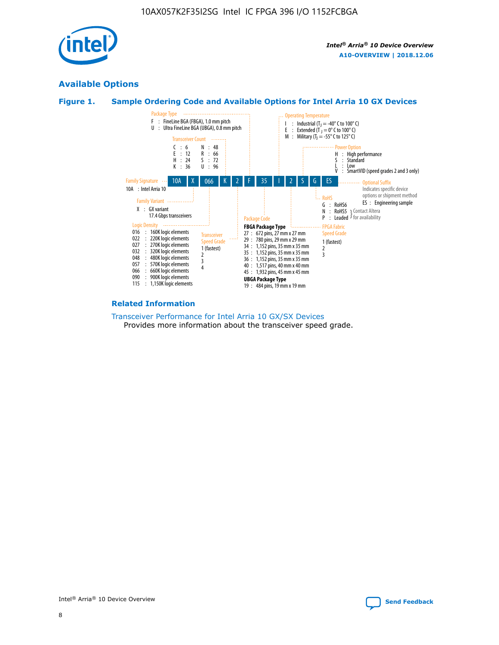![](_page_8_Picture_1.jpeg)

# **Available Options**

![](_page_8_Figure_4.jpeg)

![](_page_8_Figure_5.jpeg)

#### **Related Information**

[Transceiver Performance for Intel Arria 10 GX/SX Devices](https://www.intel.com/content/www/us/en/programmable/documentation/mcn1413182292568.html#mcn1413213965502) Provides more information about the transceiver speed grade.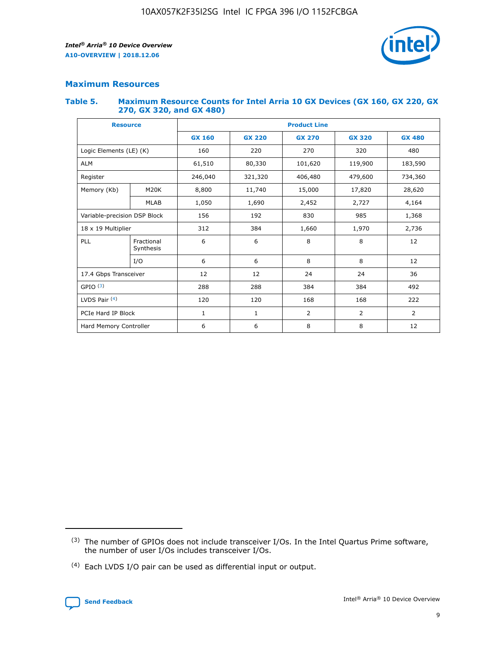![](_page_9_Picture_2.jpeg)

## **Maximum Resources**

#### **Table 5. Maximum Resource Counts for Intel Arria 10 GX Devices (GX 160, GX 220, GX 270, GX 320, and GX 480)**

| <b>Resource</b>              |                         | <b>Product Line</b> |                   |                |                |                |  |  |  |
|------------------------------|-------------------------|---------------------|-------------------|----------------|----------------|----------------|--|--|--|
|                              |                         | <b>GX 160</b>       | <b>GX 220</b>     | <b>GX 270</b>  | <b>GX 320</b>  | <b>GX 480</b>  |  |  |  |
| Logic Elements (LE) (K)      |                         | 160                 | 220               | 270            | 320            | 480            |  |  |  |
| <b>ALM</b>                   |                         | 61,510              | 80,330            | 101,620        | 119,900        | 183,590        |  |  |  |
| Register                     |                         | 246,040             | 321,320           | 406,480        | 479,600        | 734,360        |  |  |  |
| Memory (Kb)                  | M <sub>20</sub> K       | 8,800               | 11,740            |                | 17,820         | 28,620         |  |  |  |
| <b>MLAB</b>                  |                         | 1,050               | 1,690             | 2,452          | 2,727          | 4,164          |  |  |  |
| Variable-precision DSP Block |                         | 156                 | 192<br>830<br>985 |                | 1,368          |                |  |  |  |
| 18 x 19 Multiplier           |                         | 312                 | 384               | 1,970<br>1,660 |                | 2,736          |  |  |  |
| PLL                          | Fractional<br>Synthesis | 6                   | 6                 | 8              | 8              | 12             |  |  |  |
|                              | I/O                     | 6                   | 6                 | 8              | 8              | 12             |  |  |  |
| 17.4 Gbps Transceiver        |                         | 12                  | 12<br>24<br>24    |                | 36             |                |  |  |  |
| GPIO <sup>(3)</sup>          |                         | 288                 | 288               | 384<br>384     |                | 492            |  |  |  |
| LVDS Pair $(4)$              |                         | 120                 | 120               | 168            | 168            | 222            |  |  |  |
| PCIe Hard IP Block           |                         | 1                   | 1                 | 2              | $\overline{2}$ | $\overline{2}$ |  |  |  |
| Hard Memory Controller       |                         | 6                   | 6                 | 8              | 8              | 12             |  |  |  |

<sup>(4)</sup> Each LVDS I/O pair can be used as differential input or output.

![](_page_9_Picture_8.jpeg)

<sup>(3)</sup> The number of GPIOs does not include transceiver I/Os. In the Intel Quartus Prime software, the number of user I/Os includes transceiver I/Os.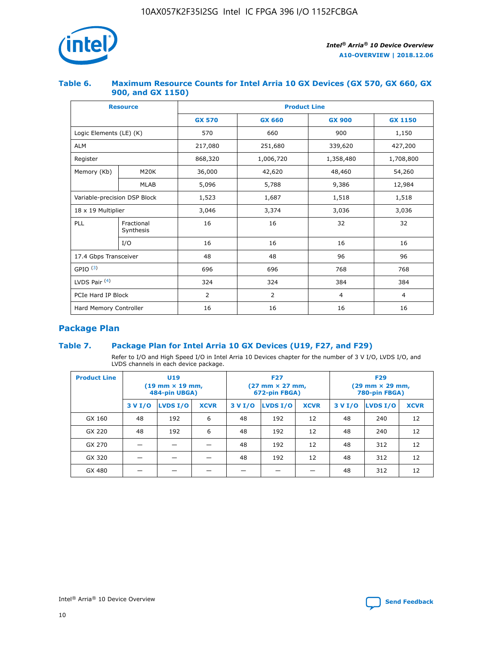![](_page_10_Picture_1.jpeg)

## **Table 6. Maximum Resource Counts for Intel Arria 10 GX Devices (GX 570, GX 660, GX 900, and GX 1150)**

|                              | <b>Resource</b>         | <b>Product Line</b> |                |                |                |  |  |  |  |
|------------------------------|-------------------------|---------------------|----------------|----------------|----------------|--|--|--|--|
|                              |                         | <b>GX 570</b>       | <b>GX 660</b>  | <b>GX 900</b>  | <b>GX 1150</b> |  |  |  |  |
| Logic Elements (LE) (K)      |                         | 570                 | 660            | 900            | 1,150          |  |  |  |  |
| <b>ALM</b>                   |                         | 217,080             | 251,680        | 339,620        | 427,200        |  |  |  |  |
| Register                     |                         | 868,320             | 1,006,720      | 1,358,480      | 1,708,800      |  |  |  |  |
| Memory (Kb)                  | <b>M20K</b>             | 36,000              | 42,620         | 48,460         | 54,260         |  |  |  |  |
|                              | <b>MLAB</b>             | 5,096               | 5,788          | 9,386          | 12,984         |  |  |  |  |
| Variable-precision DSP Block |                         | 1,523               | 1,687          | 1,518          | 1,518          |  |  |  |  |
| $18 \times 19$ Multiplier    |                         | 3,046               | 3,374          | 3,036          | 3,036          |  |  |  |  |
| PLL                          | Fractional<br>Synthesis | 16                  | 16             | 32             | 32             |  |  |  |  |
|                              | I/O                     | 16                  | 16             | 16             | 16             |  |  |  |  |
| 17.4 Gbps Transceiver        |                         | 48                  | 48             | 96             | 96             |  |  |  |  |
| GPIO <sup>(3)</sup>          |                         | 696                 | 696            | 768            | 768            |  |  |  |  |
| LVDS Pair $(4)$              |                         | 324                 | 324            | 384            | 384            |  |  |  |  |
| PCIe Hard IP Block           |                         | 2                   | $\overline{2}$ | $\overline{4}$ | $\overline{4}$ |  |  |  |  |
| Hard Memory Controller       |                         | 16                  | 16             | 16             | 16             |  |  |  |  |

# **Package Plan**

# **Table 7. Package Plan for Intel Arria 10 GX Devices (U19, F27, and F29)**

Refer to I/O and High Speed I/O in Intel Arria 10 Devices chapter for the number of 3 V I/O, LVDS I/O, and LVDS channels in each device package.

| <b>Product Line</b> | U <sub>19</sub><br>$(19 \text{ mm} \times 19 \text{ mm})$<br>484-pin UBGA) |          |             |         | <b>F27</b><br>(27 mm × 27 mm,<br>672-pin FBGA) |             | <b>F29</b><br>(29 mm × 29 mm,<br>780-pin FBGA) |          |             |  |
|---------------------|----------------------------------------------------------------------------|----------|-------------|---------|------------------------------------------------|-------------|------------------------------------------------|----------|-------------|--|
|                     | 3 V I/O                                                                    | LVDS I/O | <b>XCVR</b> | 3 V I/O | LVDS I/O                                       | <b>XCVR</b> | 3 V I/O                                        | LVDS I/O | <b>XCVR</b> |  |
| GX 160              | 48                                                                         | 192      | 6           | 48      | 192                                            | 12          | 48                                             | 240      | 12          |  |
| GX 220              | 48                                                                         | 192      | 6           | 48      | 192                                            | 12          | 48                                             | 240      | 12          |  |
| GX 270              |                                                                            |          |             | 48      | 192                                            | 12          | 48                                             | 312      | 12          |  |
| GX 320              |                                                                            |          |             | 48      | 192                                            | 12          | 48                                             | 312      | 12          |  |
| GX 480              |                                                                            |          |             |         |                                                |             | 48                                             | 312      | 12          |  |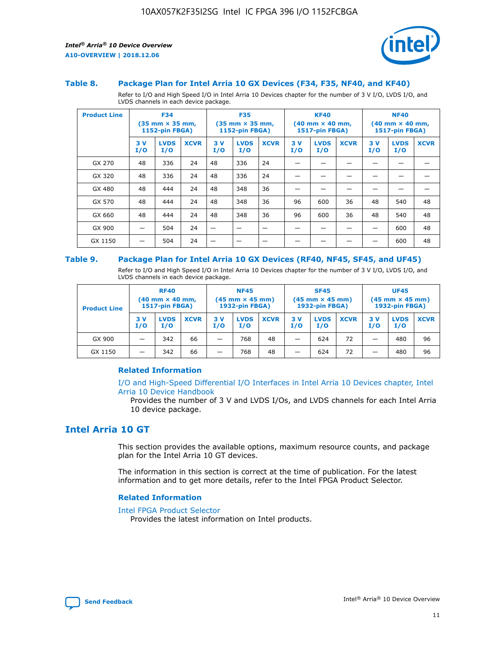![](_page_11_Picture_1.jpeg)

![](_page_11_Picture_2.jpeg)

#### **Table 8. Package Plan for Intel Arria 10 GX Devices (F34, F35, NF40, and KF40)**

Refer to I/O and High Speed I/O in Intel Arria 10 Devices chapter for the number of 3 V I/O, LVDS I/O, and LVDS channels in each device package.

| <b>Product Line</b> | <b>F34</b><br>$(35 \text{ mm} \times 35 \text{ mm})$<br>1152-pin FBGA) |                    | <b>F35</b><br>$(35$ mm $\times$ 35 mm,<br><b>1152-pin FBGA)</b> |           | <b>KF40</b><br>$(40$ mm $\times$ 40 mm,<br>1517-pin FBGA) |             |           | <b>NF40</b><br>$(40$ mm $\times$ 40 mm,<br><b>1517-pin FBGA)</b> |             |            |                    |             |
|---------------------|------------------------------------------------------------------------|--------------------|-----------------------------------------------------------------|-----------|-----------------------------------------------------------|-------------|-----------|------------------------------------------------------------------|-------------|------------|--------------------|-------------|
|                     | 3V<br>I/O                                                              | <b>LVDS</b><br>I/O | <b>XCVR</b>                                                     | 3V<br>I/O | <b>LVDS</b><br>I/O                                        | <b>XCVR</b> | 3V<br>I/O | <b>LVDS</b><br>I/O                                               | <b>XCVR</b> | 3 V<br>I/O | <b>LVDS</b><br>I/O | <b>XCVR</b> |
| GX 270              | 48                                                                     | 336                | 24                                                              | 48        | 336                                                       | 24          |           |                                                                  |             |            |                    |             |
| GX 320              | 48                                                                     | 336                | 24                                                              | 48        | 336                                                       | 24          |           |                                                                  |             |            |                    |             |
| GX 480              | 48                                                                     | 444                | 24                                                              | 48        | 348                                                       | 36          |           |                                                                  |             |            |                    |             |
| GX 570              | 48                                                                     | 444                | 24                                                              | 48        | 348                                                       | 36          | 96        | 600                                                              | 36          | 48         | 540                | 48          |
| GX 660              | 48                                                                     | 444                | 24                                                              | 48        | 348                                                       | 36          | 96        | 600                                                              | 36          | 48         | 540                | 48          |
| GX 900              |                                                                        | 504                | 24                                                              | –         |                                                           | -           |           |                                                                  |             |            | 600                | 48          |
| GX 1150             |                                                                        | 504                | 24                                                              |           |                                                           |             |           |                                                                  |             |            | 600                | 48          |

#### **Table 9. Package Plan for Intel Arria 10 GX Devices (RF40, NF45, SF45, and UF45)**

Refer to I/O and High Speed I/O in Intel Arria 10 Devices chapter for the number of 3 V I/O, LVDS I/O, and LVDS channels in each device package.

| <b>Product Line</b> | <b>RF40</b><br>$(40$ mm $\times$ 40 mm,<br>1517-pin FBGA) |                    |             | <b>NF45</b><br>$(45 \text{ mm} \times 45 \text{ mm})$<br><b>1932-pin FBGA)</b> |                    |             | <b>SF45</b><br>$(45 \text{ mm} \times 45 \text{ mm})$<br><b>1932-pin FBGA)</b> |                    |             | <b>UF45</b><br>$(45 \text{ mm} \times 45 \text{ mm})$<br><b>1932-pin FBGA)</b> |                    |             |
|---------------------|-----------------------------------------------------------|--------------------|-------------|--------------------------------------------------------------------------------|--------------------|-------------|--------------------------------------------------------------------------------|--------------------|-------------|--------------------------------------------------------------------------------|--------------------|-------------|
|                     | 3V<br>I/O                                                 | <b>LVDS</b><br>I/O | <b>XCVR</b> | 3 V<br>I/O                                                                     | <b>LVDS</b><br>I/O | <b>XCVR</b> | 3 V<br>I/O                                                                     | <b>LVDS</b><br>I/O | <b>XCVR</b> | 3V<br>I/O                                                                      | <b>LVDS</b><br>I/O | <b>XCVR</b> |
| GX 900              |                                                           | 342                | 66          | _                                                                              | 768                | 48          |                                                                                | 624                | 72          |                                                                                | 480                | 96          |
| GX 1150             |                                                           | 342                | 66          | _                                                                              | 768                | 48          |                                                                                | 624                | 72          |                                                                                | 480                | 96          |

#### **Related Information**

[I/O and High-Speed Differential I/O Interfaces in Intel Arria 10 Devices chapter, Intel](https://www.intel.com/content/www/us/en/programmable/documentation/sam1403482614086.html#sam1403482030321) [Arria 10 Device Handbook](https://www.intel.com/content/www/us/en/programmable/documentation/sam1403482614086.html#sam1403482030321)

Provides the number of 3 V and LVDS I/Os, and LVDS channels for each Intel Arria 10 device package.

# **Intel Arria 10 GT**

This section provides the available options, maximum resource counts, and package plan for the Intel Arria 10 GT devices.

The information in this section is correct at the time of publication. For the latest information and to get more details, refer to the Intel FPGA Product Selector.

#### **Related Information**

#### [Intel FPGA Product Selector](http://www.altera.com/products/selector/psg-selector.html)

Provides the latest information on Intel products.

![](_page_11_Picture_18.jpeg)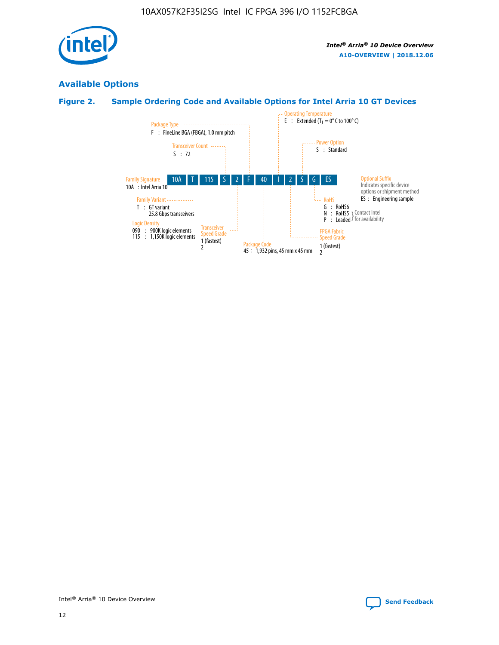![](_page_12_Picture_1.jpeg)

# **Available Options**

# **Figure 2. Sample Ordering Code and Available Options for Intel Arria 10 GT Devices**

![](_page_12_Figure_5.jpeg)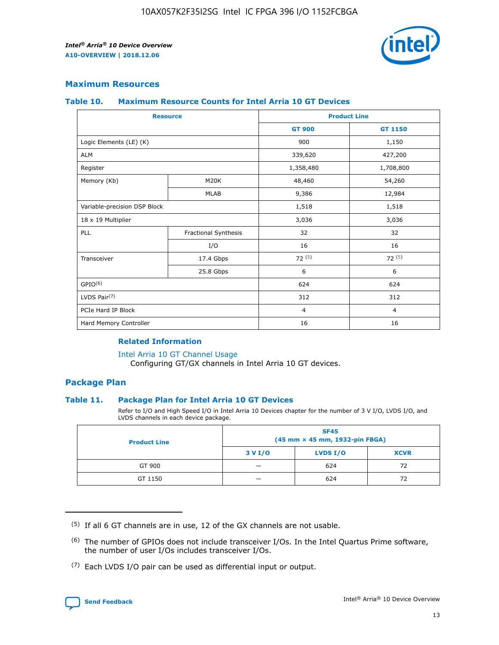![](_page_13_Picture_2.jpeg)

## **Maximum Resources**

#### **Table 10. Maximum Resource Counts for Intel Arria 10 GT Devices**

| <b>Resource</b>              |                      |                | <b>Product Line</b> |  |
|------------------------------|----------------------|----------------|---------------------|--|
|                              |                      | <b>GT 900</b>  | <b>GT 1150</b>      |  |
| Logic Elements (LE) (K)      |                      | 900            | 1,150               |  |
| <b>ALM</b>                   |                      | 339,620        | 427,200             |  |
| Register                     |                      | 1,358,480      | 1,708,800           |  |
| Memory (Kb)                  | M20K                 | 48,460         | 54,260              |  |
|                              | <b>MLAB</b>          | 9,386          | 12,984              |  |
| Variable-precision DSP Block |                      | 1,518          | 1,518               |  |
| 18 x 19 Multiplier           |                      | 3,036          | 3,036               |  |
| <b>PLL</b>                   | Fractional Synthesis | 32             | 32                  |  |
|                              | I/O                  | 16             | 16                  |  |
| Transceiver                  | 17.4 Gbps            | 72(5)          | 72(5)               |  |
|                              | 25.8 Gbps            | 6              | 6                   |  |
| GPIO <sup>(6)</sup>          |                      | 624            | 624                 |  |
| LVDS Pair $(7)$              |                      | 312            | 312                 |  |
| PCIe Hard IP Block           |                      | $\overline{4}$ | $\overline{4}$      |  |
| Hard Memory Controller       |                      | 16             | 16                  |  |

#### **Related Information**

#### [Intel Arria 10 GT Channel Usage](https://www.intel.com/content/www/us/en/programmable/documentation/nik1398707230472.html#nik1398707008178)

Configuring GT/GX channels in Intel Arria 10 GT devices.

## **Package Plan**

#### **Table 11. Package Plan for Intel Arria 10 GT Devices**

Refer to I/O and High Speed I/O in Intel Arria 10 Devices chapter for the number of 3 V I/O, LVDS I/O, and LVDS channels in each device package.

| <b>Product Line</b> | <b>SF45</b><br>(45 mm × 45 mm, 1932-pin FBGA) |                 |             |  |  |  |
|---------------------|-----------------------------------------------|-----------------|-------------|--|--|--|
|                     | 3 V I/O                                       | <b>LVDS I/O</b> | <b>XCVR</b> |  |  |  |
| GT 900              |                                               | 624             | 72          |  |  |  |
| GT 1150             |                                               | 624             | 72          |  |  |  |

<sup>(7)</sup> Each LVDS I/O pair can be used as differential input or output.

![](_page_13_Picture_16.jpeg)

 $(5)$  If all 6 GT channels are in use, 12 of the GX channels are not usable.

<sup>(6)</sup> The number of GPIOs does not include transceiver I/Os. In the Intel Quartus Prime software, the number of user I/Os includes transceiver I/Os.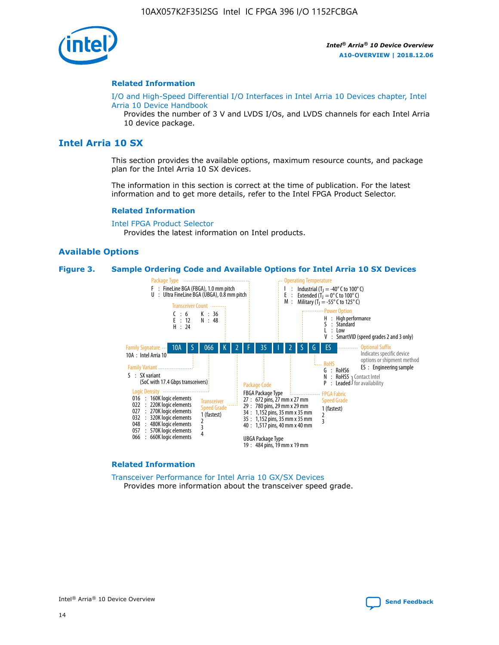![](_page_14_Picture_1.jpeg)

#### **Related Information**

[I/O and High-Speed Differential I/O Interfaces in Intel Arria 10 Devices chapter, Intel](https://www.intel.com/content/www/us/en/programmable/documentation/sam1403482614086.html#sam1403482030321) [Arria 10 Device Handbook](https://www.intel.com/content/www/us/en/programmable/documentation/sam1403482614086.html#sam1403482030321)

Provides the number of 3 V and LVDS I/Os, and LVDS channels for each Intel Arria 10 device package.

# **Intel Arria 10 SX**

This section provides the available options, maximum resource counts, and package plan for the Intel Arria 10 SX devices.

The information in this section is correct at the time of publication. For the latest information and to get more details, refer to the Intel FPGA Product Selector.

#### **Related Information**

[Intel FPGA Product Selector](http://www.altera.com/products/selector/psg-selector.html) Provides the latest information on Intel products.

#### **Available Options**

#### **Figure 3. Sample Ordering Code and Available Options for Intel Arria 10 SX Devices**

![](_page_14_Figure_13.jpeg)

#### **Related Information**

[Transceiver Performance for Intel Arria 10 GX/SX Devices](https://www.intel.com/content/www/us/en/programmable/documentation/mcn1413182292568.html#mcn1413213965502) Provides more information about the transceiver speed grade.

![](_page_14_Picture_16.jpeg)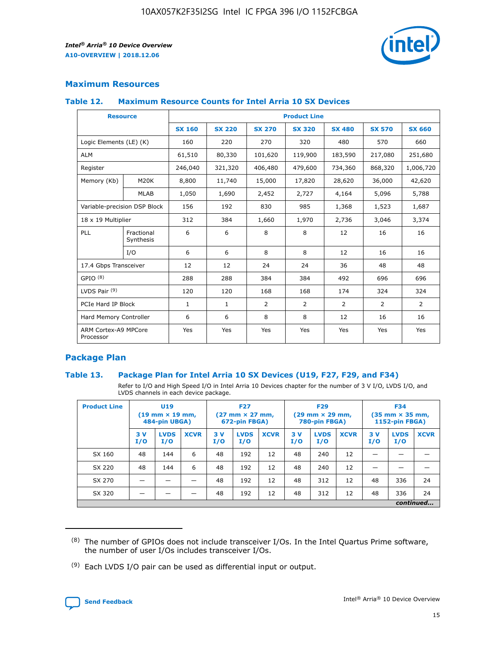![](_page_15_Picture_2.jpeg)

# **Maximum Resources**

#### **Table 12. Maximum Resource Counts for Intel Arria 10 SX Devices**

|                                   | <b>Resource</b>         | <b>Product Line</b> |               |                |                |                |                |                |  |  |  |
|-----------------------------------|-------------------------|---------------------|---------------|----------------|----------------|----------------|----------------|----------------|--|--|--|
|                                   |                         | <b>SX 160</b>       | <b>SX 220</b> | <b>SX 270</b>  | <b>SX 320</b>  | <b>SX 480</b>  | <b>SX 570</b>  | <b>SX 660</b>  |  |  |  |
| Logic Elements (LE) (K)           |                         | 160                 | 220           | 270            | 320            | 480            | 570            | 660            |  |  |  |
| <b>ALM</b>                        |                         | 61,510              | 80,330        | 101,620        | 119,900        | 183,590        | 217,080        | 251,680        |  |  |  |
| Register                          |                         | 246,040             | 321,320       | 406,480        | 479,600        | 734,360        | 868,320        | 1,006,720      |  |  |  |
| Memory (Kb)                       | M <sub>20</sub> K       | 8,800               | 11,740        | 15,000         | 17,820         | 28,620         | 36,000         | 42,620         |  |  |  |
|                                   | <b>MLAB</b>             | 1,050               | 1,690         | 2,452          | 2,727          | 4,164          | 5,096          | 5,788          |  |  |  |
| Variable-precision DSP Block      |                         | 156                 | 192           | 830            | 985            | 1,368          | 1,523          | 1,687          |  |  |  |
| 18 x 19 Multiplier                |                         | 312                 | 384           | 1,660          | 1,970          | 2,736          | 3,046          | 3,374          |  |  |  |
| <b>PLL</b>                        | Fractional<br>Synthesis | 6                   | 6             | 8              | 8              | 12             | 16             | 16             |  |  |  |
|                                   | I/O                     | 6                   | 6             | 8              | 8              | 12             | 16             | 16             |  |  |  |
| 17.4 Gbps Transceiver             |                         | 12                  | 12            | 24             | 24             | 36             | 48             | 48             |  |  |  |
| GPIO <sup>(8)</sup>               |                         | 288                 | 288           | 384            | 384            | 492            | 696            | 696            |  |  |  |
| LVDS Pair $(9)$                   |                         | 120                 | 120           | 168            | 168            | 174            | 324            | 324            |  |  |  |
| PCIe Hard IP Block                |                         | $\mathbf{1}$        | $\mathbf{1}$  | $\overline{2}$ | $\overline{2}$ | $\overline{2}$ | $\overline{2}$ | $\overline{2}$ |  |  |  |
| Hard Memory Controller            |                         | 6                   | 6             | 8              | 8              | 12             | 16             | 16             |  |  |  |
| ARM Cortex-A9 MPCore<br>Processor |                         | Yes                 | Yes           | Yes            | Yes            | Yes            | Yes            | Yes            |  |  |  |

# **Package Plan**

#### **Table 13. Package Plan for Intel Arria 10 SX Devices (U19, F27, F29, and F34)**

Refer to I/O and High Speed I/O in Intel Arria 10 Devices chapter for the number of 3 V I/O, LVDS I/O, and LVDS channels in each device package.

| <b>Product Line</b> | <b>U19</b><br>$(19 \text{ mm} \times 19 \text{ mm})$<br>484-pin UBGA) |                    |             | <b>F27</b><br>$(27 \text{ mm} \times 27 \text{ mm})$<br>672-pin FBGA) |                    | <b>F29</b><br>$(29 \text{ mm} \times 29 \text{ mm})$<br>780-pin FBGA) |           |                    | <b>F34</b><br>$(35 \text{ mm} \times 35 \text{ mm})$<br><b>1152-pin FBGA)</b> |           |                    |             |
|---------------------|-----------------------------------------------------------------------|--------------------|-------------|-----------------------------------------------------------------------|--------------------|-----------------------------------------------------------------------|-----------|--------------------|-------------------------------------------------------------------------------|-----------|--------------------|-------------|
|                     | 3V<br>I/O                                                             | <b>LVDS</b><br>I/O | <b>XCVR</b> | 3V<br>I/O                                                             | <b>LVDS</b><br>I/O | <b>XCVR</b>                                                           | 3V<br>I/O | <b>LVDS</b><br>I/O | <b>XCVR</b>                                                                   | 3V<br>I/O | <b>LVDS</b><br>I/O | <b>XCVR</b> |
| SX 160              | 48                                                                    | 144                | 6           | 48                                                                    | 192                | 12                                                                    | 48        | 240                | 12                                                                            | -         |                    |             |
| SX 220              | 48                                                                    | 144                | 6           | 48                                                                    | 192                | 12                                                                    | 48        | 240                | 12                                                                            |           |                    |             |
| SX 270              |                                                                       |                    |             | 48                                                                    | 192                | 12                                                                    | 48        | 312                | 12                                                                            | 48        | 336                | 24          |
| SX 320              |                                                                       |                    |             | 48                                                                    | 192                | 12                                                                    | 48        | 312                | 12                                                                            | 48        | 336                | 24          |
|                     | continued                                                             |                    |             |                                                                       |                    |                                                                       |           |                    |                                                                               |           |                    |             |

 $(8)$  The number of GPIOs does not include transceiver I/Os. In the Intel Quartus Prime software, the number of user I/Os includes transceiver I/Os.

 $(9)$  Each LVDS I/O pair can be used as differential input or output.

![](_page_15_Picture_12.jpeg)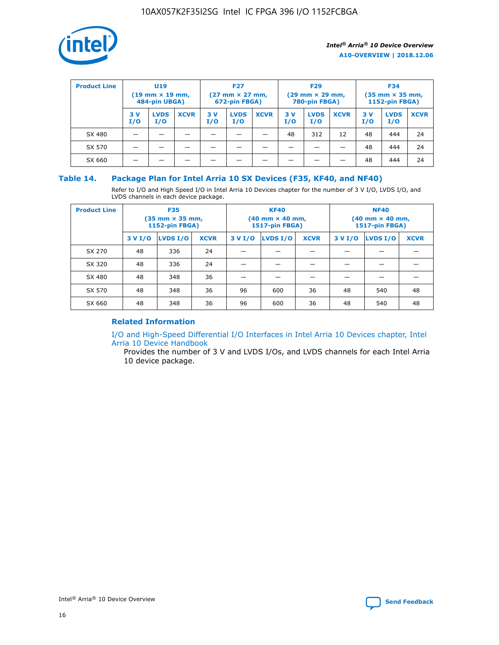![](_page_16_Picture_1.jpeg)

| <b>Product Line</b> | U <sub>19</sub><br>$(19 \text{ mm} \times 19 \text{ mm})$<br>484-pin UBGA) |                    | <b>F27</b><br>$(27 \text{ mm} \times 27 \text{ mm})$<br>672-pin FBGA) |            | <b>F29</b><br>$(29 \text{ mm} \times 29 \text{ mm})$<br>780-pin FBGA) |             |           | <b>F34</b><br>$(35 \text{ mm} \times 35 \text{ mm})$<br><b>1152-pin FBGA)</b> |             |           |                    |             |
|---------------------|----------------------------------------------------------------------------|--------------------|-----------------------------------------------------------------------|------------|-----------------------------------------------------------------------|-------------|-----------|-------------------------------------------------------------------------------|-------------|-----------|--------------------|-------------|
|                     | 3 V<br>I/O                                                                 | <b>LVDS</b><br>I/O | <b>XCVR</b>                                                           | 3 V<br>I/O | <b>LVDS</b><br>I/O                                                    | <b>XCVR</b> | 3V<br>I/O | <b>LVDS</b><br>I/O                                                            | <b>XCVR</b> | 3V<br>I/O | <b>LVDS</b><br>I/O | <b>XCVR</b> |
| SX 480              |                                                                            |                    |                                                                       |            |                                                                       |             | 48        | 312                                                                           | 12          | 48        | 444                | 24          |
| SX 570              |                                                                            |                    |                                                                       |            |                                                                       |             |           |                                                                               |             | 48        | 444                | 24          |
| SX 660              |                                                                            |                    |                                                                       |            |                                                                       |             |           |                                                                               |             | 48        | 444                | 24          |

## **Table 14. Package Plan for Intel Arria 10 SX Devices (F35, KF40, and NF40)**

Refer to I/O and High Speed I/O in Intel Arria 10 Devices chapter for the number of 3 V I/O, LVDS I/O, and LVDS channels in each device package.

| <b>Product Line</b> | <b>F35</b><br>(35 mm × 35 mm,<br>1152-pin FBGA) |          |             |                                           | <b>KF40</b><br>(40 mm × 40 mm,<br>1517-pin FBGA) |    | <b>NF40</b><br>(40 mm × 40 mm,<br>1517-pin FBGA) |          |             |  |
|---------------------|-------------------------------------------------|----------|-------------|-------------------------------------------|--------------------------------------------------|----|--------------------------------------------------|----------|-------------|--|
|                     | 3 V I/O                                         | LVDS I/O | <b>XCVR</b> | <b>LVDS I/O</b><br>3 V I/O<br><b>XCVR</b> |                                                  |    | 3 V I/O                                          | LVDS I/O | <b>XCVR</b> |  |
| SX 270              | 48                                              | 336      | 24          |                                           |                                                  |    |                                                  |          |             |  |
| SX 320              | 48                                              | 336      | 24          |                                           |                                                  |    |                                                  |          |             |  |
| SX 480              | 48                                              | 348      | 36          |                                           |                                                  |    |                                                  |          |             |  |
| SX 570              | 48                                              | 348      | 36          | 96                                        | 600                                              | 36 | 48                                               | 540      | 48          |  |
| SX 660              | 48                                              | 348      | 36          | 96                                        | 600                                              | 36 | 48                                               | 540      | 48          |  |

# **Related Information**

[I/O and High-Speed Differential I/O Interfaces in Intel Arria 10 Devices chapter, Intel](https://www.intel.com/content/www/us/en/programmable/documentation/sam1403482614086.html#sam1403482030321) [Arria 10 Device Handbook](https://www.intel.com/content/www/us/en/programmable/documentation/sam1403482614086.html#sam1403482030321)

Provides the number of 3 V and LVDS I/Os, and LVDS channels for each Intel Arria 10 device package.

Intel<sup>®</sup> Arria<sup>®</sup> 10 Device Overview **[Send Feedback](mailto:FPGAtechdocfeedback@intel.com?subject=Feedback%20on%20Intel%20Arria%2010%20Device%20Overview%20(A10-OVERVIEW%202018.12.06)&body=We%20appreciate%20your%20feedback.%20In%20your%20comments,%20also%20specify%20the%20page%20number%20or%20paragraph.%20Thank%20you.)** Send Feedback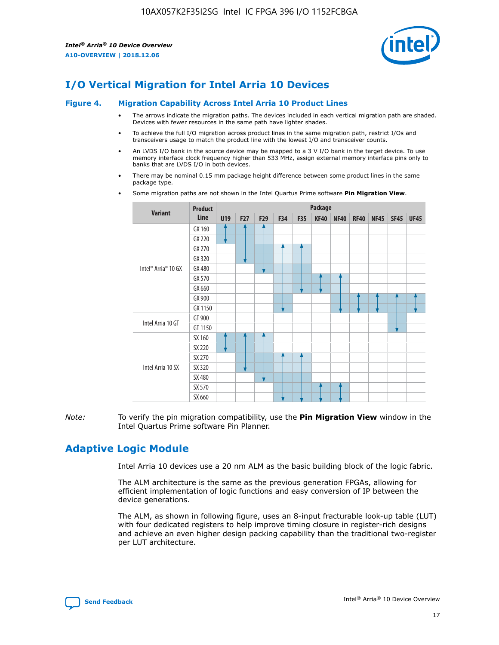![](_page_17_Picture_2.jpeg)

# **I/O Vertical Migration for Intel Arria 10 Devices**

#### **Figure 4. Migration Capability Across Intel Arria 10 Product Lines**

- The arrows indicate the migration paths. The devices included in each vertical migration path are shaded. Devices with fewer resources in the same path have lighter shades.
- To achieve the full I/O migration across product lines in the same migration path, restrict I/Os and transceivers usage to match the product line with the lowest I/O and transceiver counts.
- An LVDS I/O bank in the source device may be mapped to a 3 V I/O bank in the target device. To use memory interface clock frequency higher than 533 MHz, assign external memory interface pins only to banks that are LVDS I/O in both devices.
- There may be nominal 0.15 mm package height difference between some product lines in the same package type.
	- **Variant Product Line Package U19 F27 F29 F34 F35 KF40 NF40 RF40 NF45 SF45 UF45** Intel® Arria® 10 GX GX 160 GX 220 GX 270 GX 320 GX 480 GX 570 GX 660 GX 900 GX 1150 Intel Arria 10 GT GT 900 GT 1150 Intel Arria 10 SX SX 160 SX 220 SX 270 SX 320 SX 480 SX 570 SX 660
- Some migration paths are not shown in the Intel Quartus Prime software **Pin Migration View**.

*Note:* To verify the pin migration compatibility, use the **Pin Migration View** window in the Intel Quartus Prime software Pin Planner.

# **Adaptive Logic Module**

Intel Arria 10 devices use a 20 nm ALM as the basic building block of the logic fabric.

The ALM architecture is the same as the previous generation FPGAs, allowing for efficient implementation of logic functions and easy conversion of IP between the device generations.

The ALM, as shown in following figure, uses an 8-input fracturable look-up table (LUT) with four dedicated registers to help improve timing closure in register-rich designs and achieve an even higher design packing capability than the traditional two-register per LUT architecture.

![](_page_17_Picture_16.jpeg)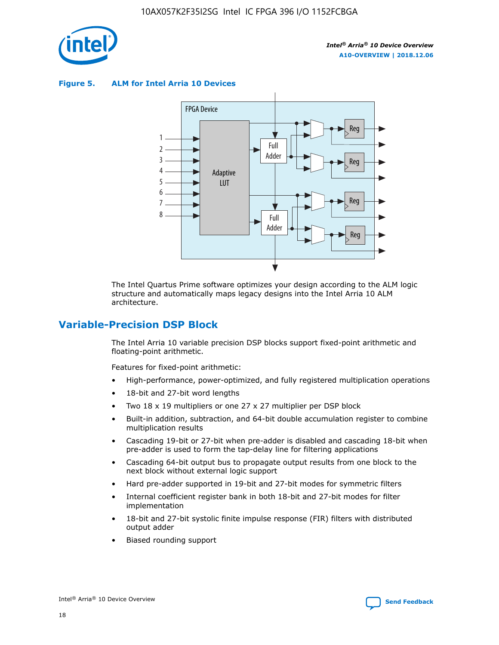![](_page_18_Picture_1.jpeg)

**Figure 5. ALM for Intel Arria 10 Devices**

![](_page_18_Figure_4.jpeg)

The Intel Quartus Prime software optimizes your design according to the ALM logic structure and automatically maps legacy designs into the Intel Arria 10 ALM architecture.

# **Variable-Precision DSP Block**

The Intel Arria 10 variable precision DSP blocks support fixed-point arithmetic and floating-point arithmetic.

Features for fixed-point arithmetic:

- High-performance, power-optimized, and fully registered multiplication operations
- 18-bit and 27-bit word lengths
- Two 18 x 19 multipliers or one 27 x 27 multiplier per DSP block
- Built-in addition, subtraction, and 64-bit double accumulation register to combine multiplication results
- Cascading 19-bit or 27-bit when pre-adder is disabled and cascading 18-bit when pre-adder is used to form the tap-delay line for filtering applications
- Cascading 64-bit output bus to propagate output results from one block to the next block without external logic support
- Hard pre-adder supported in 19-bit and 27-bit modes for symmetric filters
- Internal coefficient register bank in both 18-bit and 27-bit modes for filter implementation
- 18-bit and 27-bit systolic finite impulse response (FIR) filters with distributed output adder
- Biased rounding support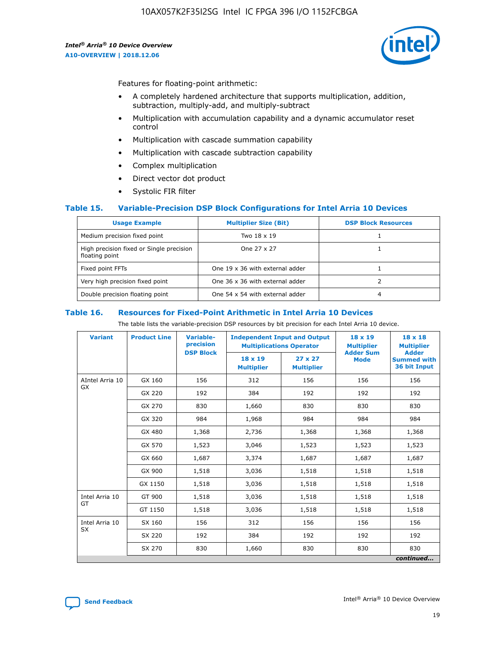![](_page_19_Picture_2.jpeg)

Features for floating-point arithmetic:

- A completely hardened architecture that supports multiplication, addition, subtraction, multiply-add, and multiply-subtract
- Multiplication with accumulation capability and a dynamic accumulator reset control
- Multiplication with cascade summation capability
- Multiplication with cascade subtraction capability
- Complex multiplication
- Direct vector dot product
- Systolic FIR filter

#### **Table 15. Variable-Precision DSP Block Configurations for Intel Arria 10 Devices**

| <b>Usage Example</b>                                       | <b>Multiplier Size (Bit)</b>    | <b>DSP Block Resources</b> |
|------------------------------------------------------------|---------------------------------|----------------------------|
| Medium precision fixed point                               | Two 18 x 19                     |                            |
| High precision fixed or Single precision<br>floating point | One 27 x 27                     |                            |
| Fixed point FFTs                                           | One 19 x 36 with external adder |                            |
| Very high precision fixed point                            | One 36 x 36 with external adder |                            |
| Double precision floating point                            | One 54 x 54 with external adder | 4                          |

#### **Table 16. Resources for Fixed-Point Arithmetic in Intel Arria 10 Devices**

The table lists the variable-precision DSP resources by bit precision for each Intel Arria 10 device.

| <b>Variant</b>  | <b>Product Line</b> | Variable-<br>precision<br><b>DSP Block</b> | <b>Independent Input and Output</b><br><b>Multiplications Operator</b> |                                     | 18 x 19<br><b>Multiplier</b><br><b>Adder Sum</b> | $18 \times 18$<br><b>Multiplier</b><br><b>Adder</b> |
|-----------------|---------------------|--------------------------------------------|------------------------------------------------------------------------|-------------------------------------|--------------------------------------------------|-----------------------------------------------------|
|                 |                     |                                            | 18 x 19<br><b>Multiplier</b>                                           | $27 \times 27$<br><b>Multiplier</b> | <b>Mode</b>                                      | <b>Summed with</b><br>36 bit Input                  |
| AIntel Arria 10 | GX 160              | 156                                        | 312                                                                    | 156                                 | 156                                              | 156                                                 |
| GX              | GX 220              | 192                                        | 384                                                                    | 192                                 | 192                                              | 192                                                 |
|                 | GX 270              | 830                                        | 1,660                                                                  | 830                                 | 830                                              | 830                                                 |
|                 | GX 320              | 984                                        | 1,968                                                                  | 984                                 | 984                                              | 984                                                 |
|                 | GX 480              | 1,368                                      | 2,736                                                                  | 1,368                               | 1,368                                            | 1,368                                               |
|                 | GX 570              | 1,523                                      | 3,046                                                                  | 1,523                               | 1,523                                            | 1,523                                               |
|                 | GX 660              | 1,687                                      | 3,374                                                                  | 1,687                               | 1,687                                            | 1,687                                               |
|                 | GX 900              | 1,518                                      | 3,036                                                                  | 1,518                               | 1,518                                            | 1,518                                               |
|                 | GX 1150             | 1,518                                      | 3,036                                                                  | 1,518                               | 1,518                                            | 1,518                                               |
| Intel Arria 10  | GT 900              | 1,518                                      | 3,036                                                                  | 1,518                               | 1,518                                            | 1,518                                               |
| GT              | GT 1150             | 1,518                                      | 3,036                                                                  | 1,518                               | 1,518                                            | 1,518                                               |
| Intel Arria 10  | SX 160              | 156                                        | 312                                                                    | 156                                 | 156                                              | 156                                                 |
| <b>SX</b>       | SX 220              | 192                                        | 384                                                                    | 192                                 | 192                                              | 192                                                 |
|                 | SX 270              | 830                                        | 1,660                                                                  | 830                                 | 830                                              | 830                                                 |
|                 |                     |                                            |                                                                        |                                     |                                                  | continued                                           |

![](_page_19_Picture_16.jpeg)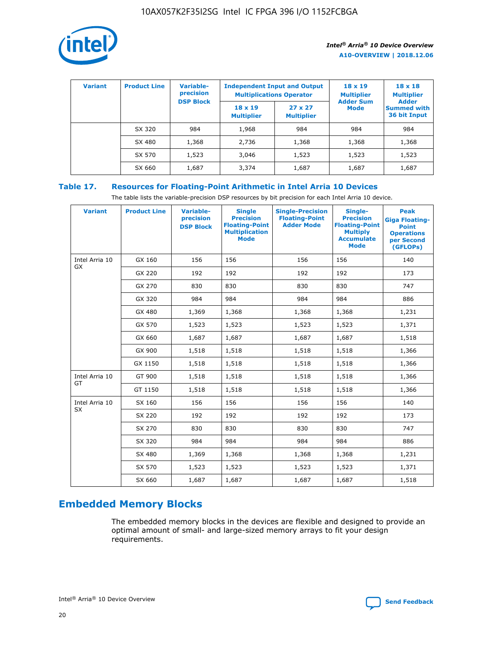![](_page_20_Picture_1.jpeg)

| <b>Variant</b> | <b>Product Line</b> | Variable-<br>precision | <b>Multiplications Operator</b>     | <b>Independent Input and Output</b> | $18 \times 19$<br><b>Multiplier</b> | $18 \times 18$<br><b>Multiplier</b><br><b>Adder</b> |  |
|----------------|---------------------|------------------------|-------------------------------------|-------------------------------------|-------------------------------------|-----------------------------------------------------|--|
|                |                     | <b>DSP Block</b>       | $18 \times 19$<br><b>Multiplier</b> | $27 \times 27$<br><b>Multiplier</b> | <b>Adder Sum</b><br><b>Mode</b>     | <b>Summed with</b><br>36 bit Input                  |  |
|                | SX 320              | 984                    | 1,968                               | 984                                 | 984                                 | 984                                                 |  |
|                | SX 480              | 1,368                  | 2,736                               | 1,368                               | 1,368                               | 1,368                                               |  |
|                | SX 570              | 1,523                  | 3,046                               | 1,523                               | 1,523                               | 1,523                                               |  |
|                | SX 660              | 1,687                  | 3,374                               | 1,687                               | 1,687                               | 1,687                                               |  |

# **Table 17. Resources for Floating-Point Arithmetic in Intel Arria 10 Devices**

The table lists the variable-precision DSP resources by bit precision for each Intel Arria 10 device.

| <b>Variant</b> | <b>Product Line</b> | <b>Variable-</b><br>precision<br><b>DSP Block</b> | <b>Single</b><br><b>Precision</b><br><b>Floating-Point</b><br><b>Multiplication</b><br><b>Mode</b> | <b>Single-Precision</b><br><b>Floating-Point</b><br><b>Adder Mode</b> | Single-<br><b>Precision</b><br><b>Floating-Point</b><br><b>Multiply</b><br><b>Accumulate</b><br><b>Mode</b> | <b>Peak</b><br><b>Giga Floating-</b><br><b>Point</b><br><b>Operations</b><br>per Second<br>(GFLOPs) |
|----------------|---------------------|---------------------------------------------------|----------------------------------------------------------------------------------------------------|-----------------------------------------------------------------------|-------------------------------------------------------------------------------------------------------------|-----------------------------------------------------------------------------------------------------|
| Intel Arria 10 | GX 160              | 156                                               | 156                                                                                                | 156                                                                   | 156                                                                                                         | 140                                                                                                 |
| GX             | GX 220              | 192                                               | 192                                                                                                | 192                                                                   | 192                                                                                                         | 173                                                                                                 |
|                | GX 270              | 830                                               | 830                                                                                                | 830                                                                   | 830                                                                                                         | 747                                                                                                 |
|                | GX 320              | 984                                               | 984                                                                                                | 984                                                                   | 984                                                                                                         | 886                                                                                                 |
|                | GX 480              | 1,369                                             | 1,368                                                                                              | 1,368                                                                 | 1,368                                                                                                       | 1,231                                                                                               |
|                | GX 570              | 1,523                                             | 1,523                                                                                              | 1,523                                                                 | 1,523                                                                                                       | 1,371                                                                                               |
|                | GX 660              | 1,687                                             | 1,687                                                                                              | 1,687                                                                 | 1,687                                                                                                       | 1,518                                                                                               |
|                | GX 900              | 1,518                                             | 1,518                                                                                              | 1,518                                                                 | 1,518                                                                                                       | 1,366                                                                                               |
|                | GX 1150             | 1,518                                             | 1,518                                                                                              | 1,518                                                                 | 1,518                                                                                                       | 1,366                                                                                               |
| Intel Arria 10 | GT 900              | 1,518                                             | 1,518                                                                                              | 1,518                                                                 | 1,518                                                                                                       | 1,366                                                                                               |
| GT             | GT 1150             | 1,518                                             | 1,518                                                                                              | 1,518                                                                 | 1,518                                                                                                       | 1,366                                                                                               |
| Intel Arria 10 | SX 160              | 156                                               | 156                                                                                                | 156                                                                   | 156                                                                                                         | 140                                                                                                 |
| <b>SX</b>      | SX 220              | 192                                               | 192                                                                                                | 192                                                                   | 192                                                                                                         | 173                                                                                                 |
|                | SX 270              | 830                                               | 830                                                                                                | 830                                                                   | 830                                                                                                         | 747                                                                                                 |
|                | SX 320              | 984                                               | 984                                                                                                | 984                                                                   | 984                                                                                                         | 886                                                                                                 |
|                | SX 480              | 1,369                                             | 1,368                                                                                              | 1,368                                                                 | 1,368                                                                                                       | 1,231                                                                                               |
|                | SX 570              | 1,523                                             | 1,523                                                                                              | 1,523                                                                 | 1,523                                                                                                       | 1,371                                                                                               |
|                | SX 660              | 1,687                                             | 1,687                                                                                              | 1,687                                                                 | 1,687                                                                                                       | 1,518                                                                                               |

# **Embedded Memory Blocks**

The embedded memory blocks in the devices are flexible and designed to provide an optimal amount of small- and large-sized memory arrays to fit your design requirements.

![](_page_20_Picture_9.jpeg)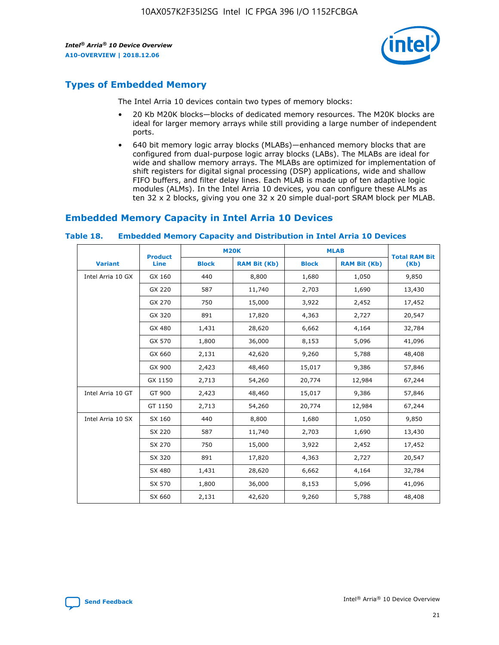![](_page_21_Picture_2.jpeg)

# **Types of Embedded Memory**

The Intel Arria 10 devices contain two types of memory blocks:

- 20 Kb M20K blocks—blocks of dedicated memory resources. The M20K blocks are ideal for larger memory arrays while still providing a large number of independent ports.
- 640 bit memory logic array blocks (MLABs)—enhanced memory blocks that are configured from dual-purpose logic array blocks (LABs). The MLABs are ideal for wide and shallow memory arrays. The MLABs are optimized for implementation of shift registers for digital signal processing (DSP) applications, wide and shallow FIFO buffers, and filter delay lines. Each MLAB is made up of ten adaptive logic modules (ALMs). In the Intel Arria 10 devices, you can configure these ALMs as ten 32 x 2 blocks, giving you one 32 x 20 simple dual-port SRAM block per MLAB.

# **Embedded Memory Capacity in Intel Arria 10 Devices**

|                   | <b>Product</b> |              | <b>M20K</b>         | <b>MLAB</b>  |                     | <b>Total RAM Bit</b> |
|-------------------|----------------|--------------|---------------------|--------------|---------------------|----------------------|
| <b>Variant</b>    | Line           | <b>Block</b> | <b>RAM Bit (Kb)</b> | <b>Block</b> | <b>RAM Bit (Kb)</b> | (Kb)                 |
| Intel Arria 10 GX | GX 160         | 440          | 8,800               | 1,680        | 1,050               | 9,850                |
|                   | GX 220         | 587          | 11,740              | 2,703        | 1,690               | 13,430               |
|                   | GX 270         | 750          | 15,000              | 3,922        | 2,452               | 17,452               |
|                   | GX 320         | 891          | 17,820              | 4,363        | 2,727               | 20,547               |
|                   | GX 480         | 1,431        | 28,620              | 6,662        | 4,164               | 32,784               |
|                   | GX 570         | 1,800        | 36,000              | 8,153        | 5,096               | 41,096               |
|                   | GX 660         | 2,131        | 42,620              | 9,260        | 5,788               | 48,408               |
|                   | GX 900         | 2,423        | 48,460              | 15,017       | 9,386               | 57,846               |
|                   | GX 1150        | 2,713        | 54,260              | 20,774       | 12,984              | 67,244               |
| Intel Arria 10 GT | GT 900         | 2,423        | 48,460              | 15,017       | 9,386               | 57,846               |
|                   | GT 1150        | 2,713        | 54,260              | 20,774       | 12,984              | 67,244               |
| Intel Arria 10 SX | SX 160         | 440          | 8,800               | 1,680        | 1,050               | 9,850                |
|                   | SX 220         | 587          | 11,740              | 2,703        | 1,690               | 13,430               |
|                   | SX 270         | 750          | 15,000              | 3,922        | 2,452               | 17,452               |
|                   | SX 320         | 891          | 17,820              | 4,363        | 2,727               | 20,547               |
|                   | SX 480         | 1,431        | 28,620              | 6,662        | 4,164               | 32,784               |
|                   | SX 570         | 1,800        | 36,000              | 8,153        | 5,096               | 41,096               |
|                   | SX 660         | 2,131        | 42,620              | 9,260        | 5,788               | 48,408               |

#### **Table 18. Embedded Memory Capacity and Distribution in Intel Arria 10 Devices**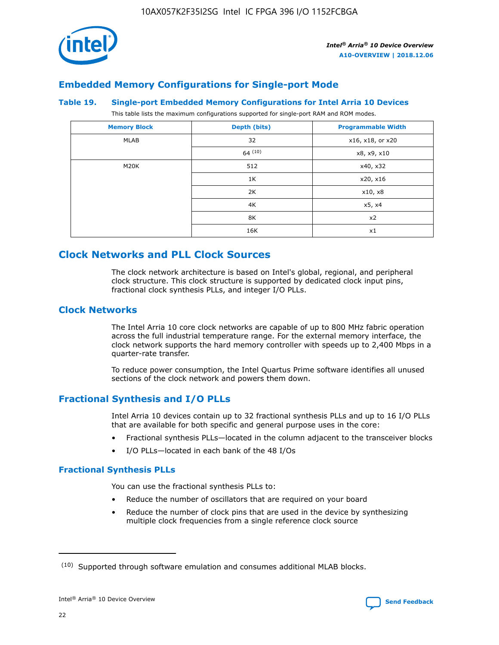![](_page_22_Picture_1.jpeg)

# **Embedded Memory Configurations for Single-port Mode**

#### **Table 19. Single-port Embedded Memory Configurations for Intel Arria 10 Devices**

This table lists the maximum configurations supported for single-port RAM and ROM modes.

| <b>Memory Block</b> | Depth (bits) | <b>Programmable Width</b> |
|---------------------|--------------|---------------------------|
| MLAB                | 32           | x16, x18, or x20          |
|                     | 64(10)       | x8, x9, x10               |
| M20K                | 512          | x40, x32                  |
|                     | 1K           | x20, x16                  |
|                     | 2K           | x10, x8                   |
|                     | 4K           | x5, x4                    |
|                     | 8K           | x2                        |
|                     | 16K          | x1                        |

# **Clock Networks and PLL Clock Sources**

The clock network architecture is based on Intel's global, regional, and peripheral clock structure. This clock structure is supported by dedicated clock input pins, fractional clock synthesis PLLs, and integer I/O PLLs.

# **Clock Networks**

The Intel Arria 10 core clock networks are capable of up to 800 MHz fabric operation across the full industrial temperature range. For the external memory interface, the clock network supports the hard memory controller with speeds up to 2,400 Mbps in a quarter-rate transfer.

To reduce power consumption, the Intel Quartus Prime software identifies all unused sections of the clock network and powers them down.

# **Fractional Synthesis and I/O PLLs**

Intel Arria 10 devices contain up to 32 fractional synthesis PLLs and up to 16 I/O PLLs that are available for both specific and general purpose uses in the core:

- Fractional synthesis PLLs—located in the column adjacent to the transceiver blocks
- I/O PLLs—located in each bank of the 48 I/Os

# **Fractional Synthesis PLLs**

You can use the fractional synthesis PLLs to:

- Reduce the number of oscillators that are required on your board
- Reduce the number of clock pins that are used in the device by synthesizing multiple clock frequencies from a single reference clock source

<sup>(10)</sup> Supported through software emulation and consumes additional MLAB blocks.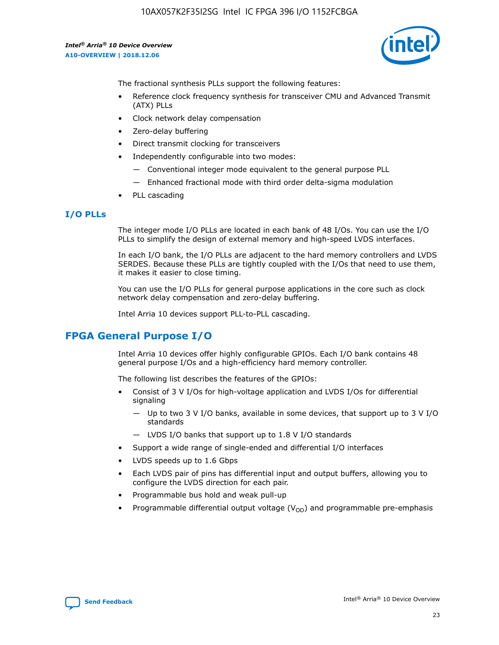![](_page_23_Picture_2.jpeg)

The fractional synthesis PLLs support the following features:

- Reference clock frequency synthesis for transceiver CMU and Advanced Transmit (ATX) PLLs
- Clock network delay compensation
- Zero-delay buffering
- Direct transmit clocking for transceivers
- Independently configurable into two modes:
	- Conventional integer mode equivalent to the general purpose PLL
	- Enhanced fractional mode with third order delta-sigma modulation
- PLL cascading

#### **I/O PLLs**

The integer mode I/O PLLs are located in each bank of 48 I/Os. You can use the I/O PLLs to simplify the design of external memory and high-speed LVDS interfaces.

In each I/O bank, the I/O PLLs are adjacent to the hard memory controllers and LVDS SERDES. Because these PLLs are tightly coupled with the I/Os that need to use them, it makes it easier to close timing.

You can use the I/O PLLs for general purpose applications in the core such as clock network delay compensation and zero-delay buffering.

Intel Arria 10 devices support PLL-to-PLL cascading.

# **FPGA General Purpose I/O**

Intel Arria 10 devices offer highly configurable GPIOs. Each I/O bank contains 48 general purpose I/Os and a high-efficiency hard memory controller.

The following list describes the features of the GPIOs:

- Consist of 3 V I/Os for high-voltage application and LVDS I/Os for differential signaling
	- Up to two 3 V I/O banks, available in some devices, that support up to 3 V I/O standards
	- LVDS I/O banks that support up to 1.8 V I/O standards
- Support a wide range of single-ended and differential I/O interfaces
- LVDS speeds up to 1.6 Gbps
- Each LVDS pair of pins has differential input and output buffers, allowing you to configure the LVDS direction for each pair.
- Programmable bus hold and weak pull-up
- Programmable differential output voltage  $(V_{OD})$  and programmable pre-emphasis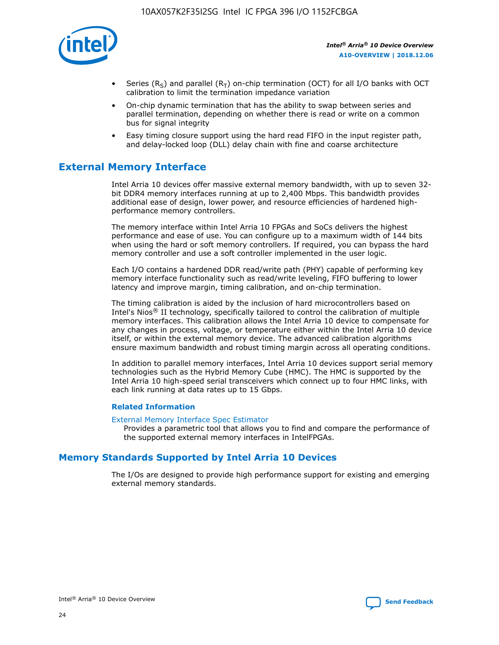![](_page_24_Picture_1.jpeg)

- Series (R<sub>S</sub>) and parallel (R<sub>T</sub>) on-chip termination (OCT) for all I/O banks with OCT calibration to limit the termination impedance variation
- On-chip dynamic termination that has the ability to swap between series and parallel termination, depending on whether there is read or write on a common bus for signal integrity
- Easy timing closure support using the hard read FIFO in the input register path, and delay-locked loop (DLL) delay chain with fine and coarse architecture

# **External Memory Interface**

Intel Arria 10 devices offer massive external memory bandwidth, with up to seven 32 bit DDR4 memory interfaces running at up to 2,400 Mbps. This bandwidth provides additional ease of design, lower power, and resource efficiencies of hardened highperformance memory controllers.

The memory interface within Intel Arria 10 FPGAs and SoCs delivers the highest performance and ease of use. You can configure up to a maximum width of 144 bits when using the hard or soft memory controllers. If required, you can bypass the hard memory controller and use a soft controller implemented in the user logic.

Each I/O contains a hardened DDR read/write path (PHY) capable of performing key memory interface functionality such as read/write leveling, FIFO buffering to lower latency and improve margin, timing calibration, and on-chip termination.

The timing calibration is aided by the inclusion of hard microcontrollers based on Intel's Nios® II technology, specifically tailored to control the calibration of multiple memory interfaces. This calibration allows the Intel Arria 10 device to compensate for any changes in process, voltage, or temperature either within the Intel Arria 10 device itself, or within the external memory device. The advanced calibration algorithms ensure maximum bandwidth and robust timing margin across all operating conditions.

In addition to parallel memory interfaces, Intel Arria 10 devices support serial memory technologies such as the Hybrid Memory Cube (HMC). The HMC is supported by the Intel Arria 10 high-speed serial transceivers which connect up to four HMC links, with each link running at data rates up to 15 Gbps.

#### **Related Information**

#### [External Memory Interface Spec Estimator](http://www.altera.com/technology/memory/estimator/mem-emif-index.html)

Provides a parametric tool that allows you to find and compare the performance of the supported external memory interfaces in IntelFPGAs.

# **Memory Standards Supported by Intel Arria 10 Devices**

The I/Os are designed to provide high performance support for existing and emerging external memory standards.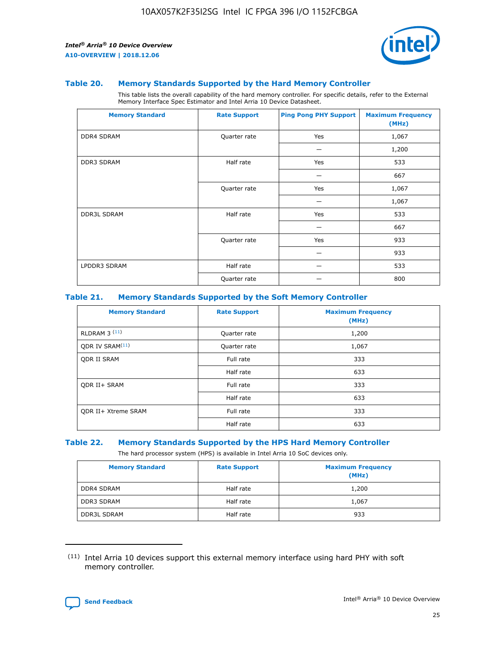![](_page_25_Picture_2.jpeg)

#### **Table 20. Memory Standards Supported by the Hard Memory Controller**

This table lists the overall capability of the hard memory controller. For specific details, refer to the External Memory Interface Spec Estimator and Intel Arria 10 Device Datasheet.

| <b>Memory Standard</b> | <b>Rate Support</b> | <b>Ping Pong PHY Support</b> | <b>Maximum Frequency</b><br>(MHz) |
|------------------------|---------------------|------------------------------|-----------------------------------|
| <b>DDR4 SDRAM</b>      | Quarter rate        | Yes                          | 1,067                             |
|                        |                     |                              | 1,200                             |
| <b>DDR3 SDRAM</b>      | Half rate           | Yes                          | 533                               |
|                        |                     |                              | 667                               |
|                        | Quarter rate        | Yes                          | 1,067                             |
|                        |                     |                              | 1,067                             |
| <b>DDR3L SDRAM</b>     | Half rate           | Yes                          | 533                               |
|                        |                     |                              | 667                               |
|                        | Quarter rate        | Yes                          | 933                               |
|                        |                     |                              | 933                               |
| LPDDR3 SDRAM           | Half rate           |                              | 533                               |
|                        | Quarter rate        |                              | 800                               |

#### **Table 21. Memory Standards Supported by the Soft Memory Controller**

| <b>Memory Standard</b>      | <b>Rate Support</b> | <b>Maximum Frequency</b><br>(MHz) |
|-----------------------------|---------------------|-----------------------------------|
| <b>RLDRAM 3 (11)</b>        | Quarter rate        | 1,200                             |
| ODR IV SRAM <sup>(11)</sup> | Quarter rate        | 1,067                             |
| <b>ODR II SRAM</b>          | Full rate           | 333                               |
|                             | Half rate           | 633                               |
| <b>ODR II+ SRAM</b>         | Full rate           | 333                               |
|                             | Half rate           | 633                               |
| <b>ODR II+ Xtreme SRAM</b>  | Full rate           | 333                               |
|                             | Half rate           | 633                               |

#### **Table 22. Memory Standards Supported by the HPS Hard Memory Controller**

The hard processor system (HPS) is available in Intel Arria 10 SoC devices only.

| <b>Memory Standard</b> | <b>Rate Support</b> | <b>Maximum Frequency</b><br>(MHz) |
|------------------------|---------------------|-----------------------------------|
| <b>DDR4 SDRAM</b>      | Half rate           | 1,200                             |
| <b>DDR3 SDRAM</b>      | Half rate           | 1,067                             |
| <b>DDR3L SDRAM</b>     | Half rate           | 933                               |

<sup>(11)</sup> Intel Arria 10 devices support this external memory interface using hard PHY with soft memory controller.

![](_page_25_Picture_12.jpeg)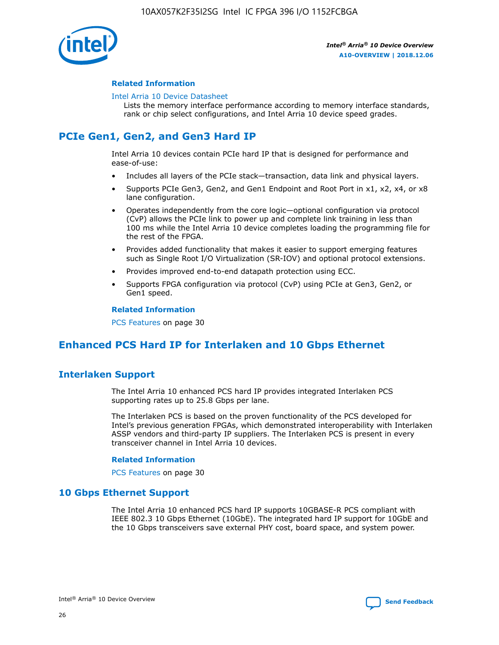![](_page_26_Picture_1.jpeg)

#### **Related Information**

#### [Intel Arria 10 Device Datasheet](https://www.intel.com/content/www/us/en/programmable/documentation/mcn1413182292568.html#mcn1413182153340)

Lists the memory interface performance according to memory interface standards, rank or chip select configurations, and Intel Arria 10 device speed grades.

# **PCIe Gen1, Gen2, and Gen3 Hard IP**

Intel Arria 10 devices contain PCIe hard IP that is designed for performance and ease-of-use:

- Includes all layers of the PCIe stack—transaction, data link and physical layers.
- Supports PCIe Gen3, Gen2, and Gen1 Endpoint and Root Port in x1, x2, x4, or x8 lane configuration.
- Operates independently from the core logic—optional configuration via protocol (CvP) allows the PCIe link to power up and complete link training in less than 100 ms while the Intel Arria 10 device completes loading the programming file for the rest of the FPGA.
- Provides added functionality that makes it easier to support emerging features such as Single Root I/O Virtualization (SR-IOV) and optional protocol extensions.
- Provides improved end-to-end datapath protection using ECC.
- Supports FPGA configuration via protocol (CvP) using PCIe at Gen3, Gen2, or Gen1 speed.

#### **Related Information**

PCS Features on page 30

# **Enhanced PCS Hard IP for Interlaken and 10 Gbps Ethernet**

# **Interlaken Support**

The Intel Arria 10 enhanced PCS hard IP provides integrated Interlaken PCS supporting rates up to 25.8 Gbps per lane.

The Interlaken PCS is based on the proven functionality of the PCS developed for Intel's previous generation FPGAs, which demonstrated interoperability with Interlaken ASSP vendors and third-party IP suppliers. The Interlaken PCS is present in every transceiver channel in Intel Arria 10 devices.

#### **Related Information**

PCS Features on page 30

# **10 Gbps Ethernet Support**

The Intel Arria 10 enhanced PCS hard IP supports 10GBASE-R PCS compliant with IEEE 802.3 10 Gbps Ethernet (10GbE). The integrated hard IP support for 10GbE and the 10 Gbps transceivers save external PHY cost, board space, and system power.

![](_page_26_Picture_24.jpeg)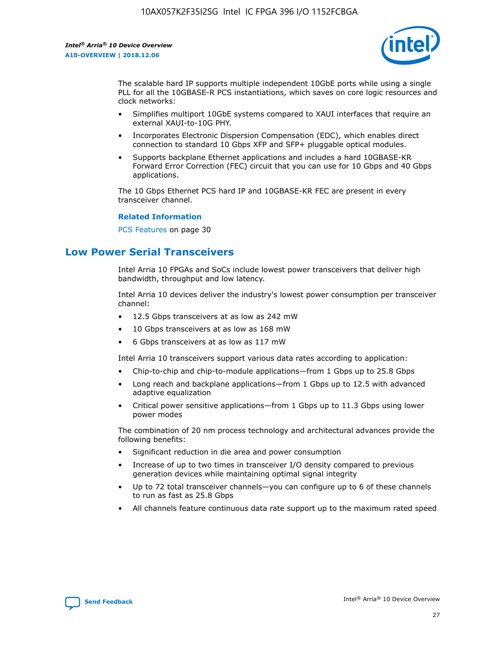![](_page_27_Picture_2.jpeg)

The scalable hard IP supports multiple independent 10GbE ports while using a single PLL for all the 10GBASE-R PCS instantiations, which saves on core logic resources and clock networks:

- Simplifies multiport 10GbE systems compared to XAUI interfaces that require an external XAUI-to-10G PHY.
- Incorporates Electronic Dispersion Compensation (EDC), which enables direct connection to standard 10 Gbps XFP and SFP+ pluggable optical modules.
- Supports backplane Ethernet applications and includes a hard 10GBASE-KR Forward Error Correction (FEC) circuit that you can use for 10 Gbps and 40 Gbps applications.

The 10 Gbps Ethernet PCS hard IP and 10GBASE-KR FEC are present in every transceiver channel.

#### **Related Information**

PCS Features on page 30

# **Low Power Serial Transceivers**

Intel Arria 10 FPGAs and SoCs include lowest power transceivers that deliver high bandwidth, throughput and low latency.

Intel Arria 10 devices deliver the industry's lowest power consumption per transceiver channel:

- 12.5 Gbps transceivers at as low as 242 mW
- 10 Gbps transceivers at as low as 168 mW
- 6 Gbps transceivers at as low as 117 mW

Intel Arria 10 transceivers support various data rates according to application:

- Chip-to-chip and chip-to-module applications—from 1 Gbps up to 25.8 Gbps
- Long reach and backplane applications—from 1 Gbps up to 12.5 with advanced adaptive equalization
- Critical power sensitive applications—from 1 Gbps up to 11.3 Gbps using lower power modes

The combination of 20 nm process technology and architectural advances provide the following benefits:

- Significant reduction in die area and power consumption
- Increase of up to two times in transceiver I/O density compared to previous generation devices while maintaining optimal signal integrity
- Up to 72 total transceiver channels—you can configure up to 6 of these channels to run as fast as 25.8 Gbps
- All channels feature continuous data rate support up to the maximum rated speed

![](_page_27_Picture_25.jpeg)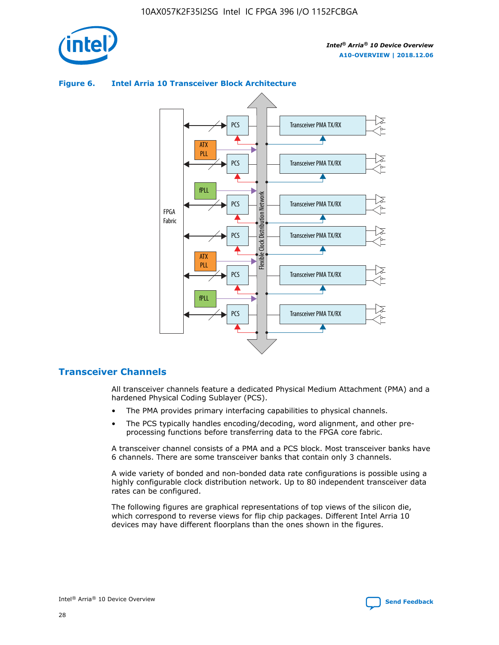![](_page_28_Picture_1.jpeg)

![](_page_28_Figure_3.jpeg)

## **Figure 6. Intel Arria 10 Transceiver Block Architecture**

# **Transceiver Channels**

All transceiver channels feature a dedicated Physical Medium Attachment (PMA) and a hardened Physical Coding Sublayer (PCS).

- The PMA provides primary interfacing capabilities to physical channels.
- The PCS typically handles encoding/decoding, word alignment, and other preprocessing functions before transferring data to the FPGA core fabric.

A transceiver channel consists of a PMA and a PCS block. Most transceiver banks have 6 channels. There are some transceiver banks that contain only 3 channels.

A wide variety of bonded and non-bonded data rate configurations is possible using a highly configurable clock distribution network. Up to 80 independent transceiver data rates can be configured.

The following figures are graphical representations of top views of the silicon die, which correspond to reverse views for flip chip packages. Different Intel Arria 10 devices may have different floorplans than the ones shown in the figures.

![](_page_28_Picture_12.jpeg)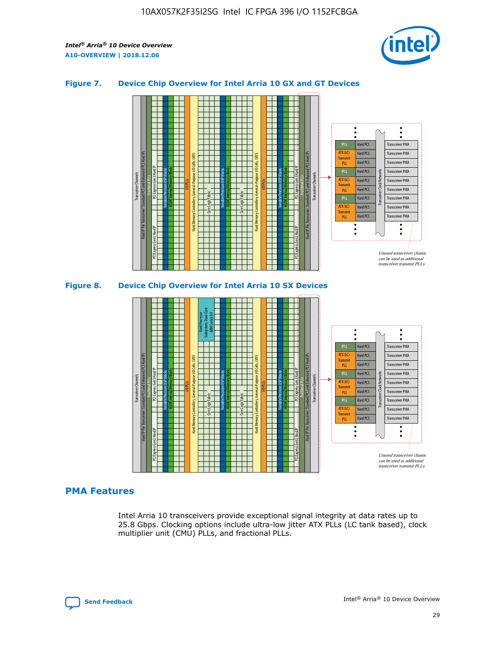![](_page_29_Picture_2.jpeg)

## **Figure 7. Device Chip Overview for Intel Arria 10 GX and GT Devices**

![](_page_29_Figure_4.jpeg)

![](_page_29_Figure_5.jpeg)

# **PMA Features**

Intel Arria 10 transceivers provide exceptional signal integrity at data rates up to 25.8 Gbps. Clocking options include ultra-low jitter ATX PLLs (LC tank based), clock multiplier unit (CMU) PLLs, and fractional PLLs.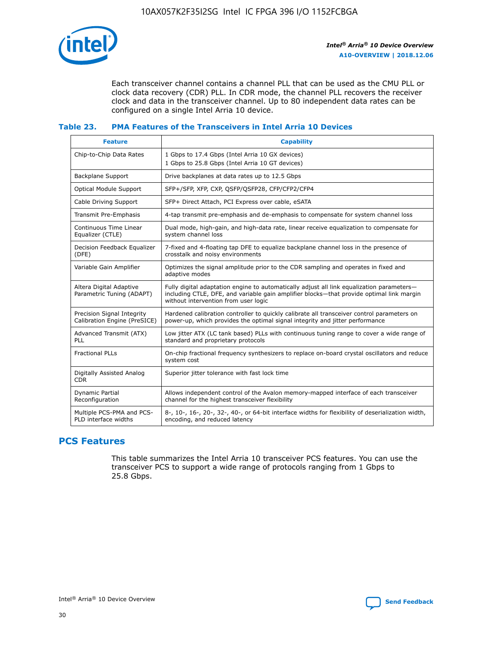![](_page_30_Picture_1.jpeg)

Each transceiver channel contains a channel PLL that can be used as the CMU PLL or clock data recovery (CDR) PLL. In CDR mode, the channel PLL recovers the receiver clock and data in the transceiver channel. Up to 80 independent data rates can be configured on a single Intel Arria 10 device.

#### **Table 23. PMA Features of the Transceivers in Intel Arria 10 Devices**

| <b>Feature</b>                                             | <b>Capability</b>                                                                                                                                                                                                             |
|------------------------------------------------------------|-------------------------------------------------------------------------------------------------------------------------------------------------------------------------------------------------------------------------------|
| Chip-to-Chip Data Rates                                    | 1 Gbps to 17.4 Gbps (Intel Arria 10 GX devices)<br>1 Gbps to 25.8 Gbps (Intel Arria 10 GT devices)                                                                                                                            |
| <b>Backplane Support</b>                                   | Drive backplanes at data rates up to 12.5 Gbps                                                                                                                                                                                |
| <b>Optical Module Support</b>                              | SFP+/SFP, XFP, CXP, QSFP/QSFP28, CFP/CFP2/CFP4                                                                                                                                                                                |
| Cable Driving Support                                      | SFP+ Direct Attach, PCI Express over cable, eSATA                                                                                                                                                                             |
| Transmit Pre-Emphasis                                      | 4-tap transmit pre-emphasis and de-emphasis to compensate for system channel loss                                                                                                                                             |
| Continuous Time Linear<br>Equalizer (CTLE)                 | Dual mode, high-gain, and high-data rate, linear receive equalization to compensate for<br>system channel loss                                                                                                                |
| Decision Feedback Equalizer<br>(DFE)                       | 7-fixed and 4-floating tap DFE to equalize backplane channel loss in the presence of<br>crosstalk and noisy environments                                                                                                      |
| Variable Gain Amplifier                                    | Optimizes the signal amplitude prior to the CDR sampling and operates in fixed and<br>adaptive modes                                                                                                                          |
| Altera Digital Adaptive<br>Parametric Tuning (ADAPT)       | Fully digital adaptation engine to automatically adjust all link equalization parameters-<br>including CTLE, DFE, and variable gain amplifier blocks—that provide optimal link margin<br>without intervention from user logic |
| Precision Signal Integrity<br>Calibration Engine (PreSICE) | Hardened calibration controller to quickly calibrate all transceiver control parameters on<br>power-up, which provides the optimal signal integrity and jitter performance                                                    |
| Advanced Transmit (ATX)<br>PLL                             | Low jitter ATX (LC tank based) PLLs with continuous tuning range to cover a wide range of<br>standard and proprietary protocols                                                                                               |
| <b>Fractional PLLs</b>                                     | On-chip fractional frequency synthesizers to replace on-board crystal oscillators and reduce<br>system cost                                                                                                                   |
| Digitally Assisted Analog<br><b>CDR</b>                    | Superior jitter tolerance with fast lock time                                                                                                                                                                                 |
| Dynamic Partial<br>Reconfiguration                         | Allows independent control of the Avalon memory-mapped interface of each transceiver<br>channel for the highest transceiver flexibility                                                                                       |
| Multiple PCS-PMA and PCS-<br>PLD interface widths          | 8-, 10-, 16-, 20-, 32-, 40-, or 64-bit interface widths for flexibility of deserialization width,<br>encoding, and reduced latency                                                                                            |

# **PCS Features**

This table summarizes the Intel Arria 10 transceiver PCS features. You can use the transceiver PCS to support a wide range of protocols ranging from 1 Gbps to 25.8 Gbps.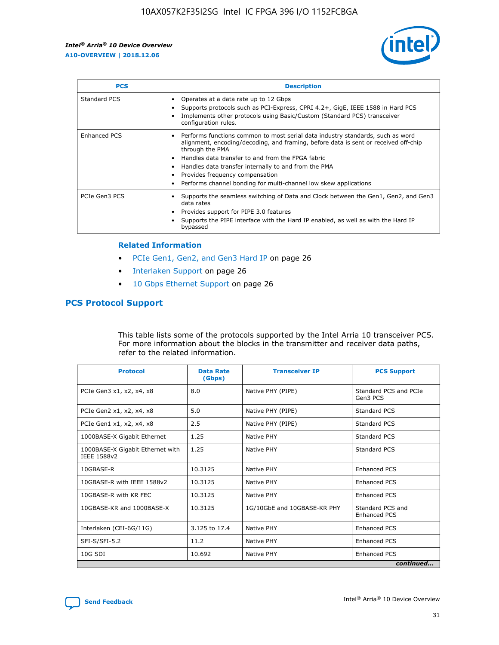![](_page_31_Picture_2.jpeg)

| <b>PCS</b>    | <b>Description</b>                                                                                                                                                                                                                                                                                                                                                                                             |
|---------------|----------------------------------------------------------------------------------------------------------------------------------------------------------------------------------------------------------------------------------------------------------------------------------------------------------------------------------------------------------------------------------------------------------------|
| Standard PCS  | Operates at a data rate up to 12 Gbps<br>Supports protocols such as PCI-Express, CPRI 4.2+, GigE, IEEE 1588 in Hard PCS<br>Implements other protocols using Basic/Custom (Standard PCS) transceiver<br>configuration rules.                                                                                                                                                                                    |
| Enhanced PCS  | Performs functions common to most serial data industry standards, such as word<br>alignment, encoding/decoding, and framing, before data is sent or received off-chip<br>through the PMA<br>• Handles data transfer to and from the FPGA fabric<br>Handles data transfer internally to and from the PMA<br>Provides frequency compensation<br>Performs channel bonding for multi-channel low skew applications |
| PCIe Gen3 PCS | Supports the seamless switching of Data and Clock between the Gen1, Gen2, and Gen3<br>data rates<br>Provides support for PIPE 3.0 features<br>Supports the PIPE interface with the Hard IP enabled, as well as with the Hard IP<br>bypassed                                                                                                                                                                    |

#### **Related Information**

- PCIe Gen1, Gen2, and Gen3 Hard IP on page 26
- Interlaken Support on page 26
- 10 Gbps Ethernet Support on page 26

# **PCS Protocol Support**

This table lists some of the protocols supported by the Intel Arria 10 transceiver PCS. For more information about the blocks in the transmitter and receiver data paths, refer to the related information.

| <b>Protocol</b>                                 | <b>Data Rate</b><br>(Gbps) | <b>Transceiver IP</b>       | <b>PCS Support</b>                      |
|-------------------------------------------------|----------------------------|-----------------------------|-----------------------------------------|
| PCIe Gen3 x1, x2, x4, x8                        | 8.0                        | Native PHY (PIPE)           | Standard PCS and PCIe<br>Gen3 PCS       |
| PCIe Gen2 x1, x2, x4, x8                        | 5.0                        | Native PHY (PIPE)           | <b>Standard PCS</b>                     |
| PCIe Gen1 x1, x2, x4, x8                        | 2.5                        | Native PHY (PIPE)           | Standard PCS                            |
| 1000BASE-X Gigabit Ethernet                     | 1.25                       | Native PHY                  | <b>Standard PCS</b>                     |
| 1000BASE-X Gigabit Ethernet with<br>IEEE 1588v2 | 1.25                       | Native PHY                  | Standard PCS                            |
| 10GBASE-R                                       | 10.3125                    | Native PHY                  | <b>Enhanced PCS</b>                     |
| 10GBASE-R with IEEE 1588v2                      | 10.3125                    | Native PHY                  | <b>Enhanced PCS</b>                     |
| 10GBASE-R with KR FEC                           | 10.3125                    | Native PHY                  | <b>Enhanced PCS</b>                     |
| 10GBASE-KR and 1000BASE-X                       | 10.3125                    | 1G/10GbE and 10GBASE-KR PHY | Standard PCS and<br><b>Enhanced PCS</b> |
| Interlaken (CEI-6G/11G)                         | 3.125 to 17.4              | Native PHY                  | <b>Enhanced PCS</b>                     |
| SFI-S/SFI-5.2                                   | 11.2                       | Native PHY                  | <b>Enhanced PCS</b>                     |
| $10G$ SDI                                       | 10.692                     | Native PHY                  | <b>Enhanced PCS</b>                     |
|                                                 |                            |                             | continued                               |

![](_page_31_Picture_11.jpeg)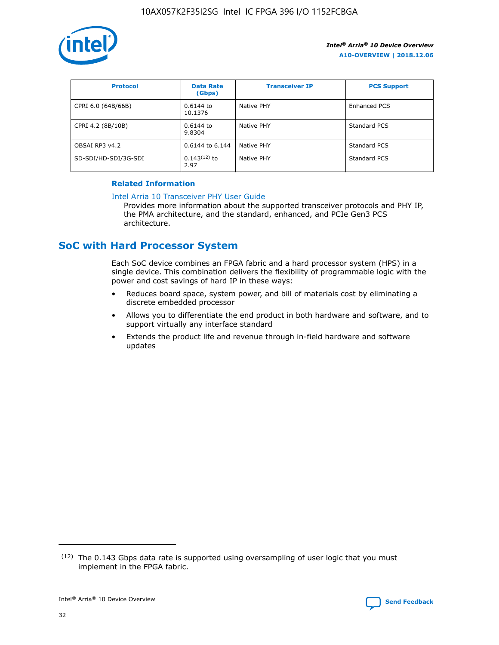![](_page_32_Picture_1.jpeg)

| <b>Protocol</b>      | <b>Data Rate</b><br>(Gbps) | <b>Transceiver IP</b> | <b>PCS Support</b> |
|----------------------|----------------------------|-----------------------|--------------------|
| CPRI 6.0 (64B/66B)   | 0.6144 to<br>10.1376       | Native PHY            | Enhanced PCS       |
| CPRI 4.2 (8B/10B)    | $0.6144$ to<br>9.8304      | Native PHY            | Standard PCS       |
| OBSAI RP3 v4.2       | 0.6144 to 6.144            | Native PHY            | Standard PCS       |
| SD-SDI/HD-SDI/3G-SDI | $0.143(12)$ to<br>2.97     | Native PHY            | Standard PCS       |

## **Related Information**

#### [Intel Arria 10 Transceiver PHY User Guide](https://www.intel.com/content/www/us/en/programmable/documentation/nik1398707230472.html#nik1398707091164)

Provides more information about the supported transceiver protocols and PHY IP, the PMA architecture, and the standard, enhanced, and PCIe Gen3 PCS architecture.

# **SoC with Hard Processor System**

Each SoC device combines an FPGA fabric and a hard processor system (HPS) in a single device. This combination delivers the flexibility of programmable logic with the power and cost savings of hard IP in these ways:

- Reduces board space, system power, and bill of materials cost by eliminating a discrete embedded processor
- Allows you to differentiate the end product in both hardware and software, and to support virtually any interface standard
- Extends the product life and revenue through in-field hardware and software updates

 $(12)$  The 0.143 Gbps data rate is supported using oversampling of user logic that you must implement in the FPGA fabric.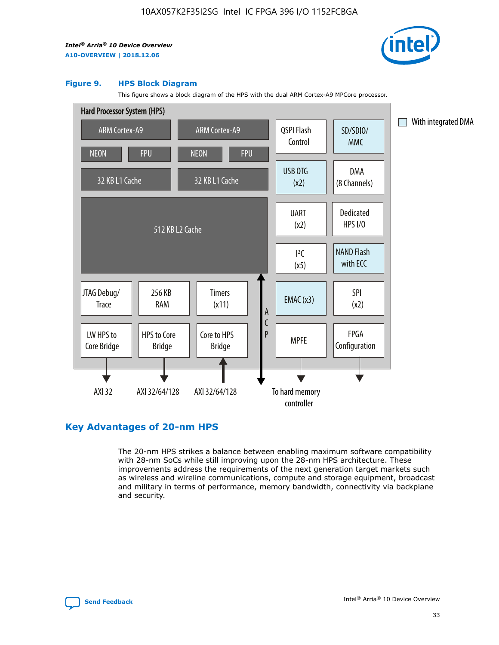![](_page_33_Picture_2.jpeg)

#### **Figure 9. HPS Block Diagram**

This figure shows a block diagram of the HPS with the dual ARM Cortex-A9 MPCore processor.

![](_page_33_Figure_5.jpeg)

# **Key Advantages of 20-nm HPS**

The 20-nm HPS strikes a balance between enabling maximum software compatibility with 28-nm SoCs while still improving upon the 28-nm HPS architecture. These improvements address the requirements of the next generation target markets such as wireless and wireline communications, compute and storage equipment, broadcast and military in terms of performance, memory bandwidth, connectivity via backplane and security.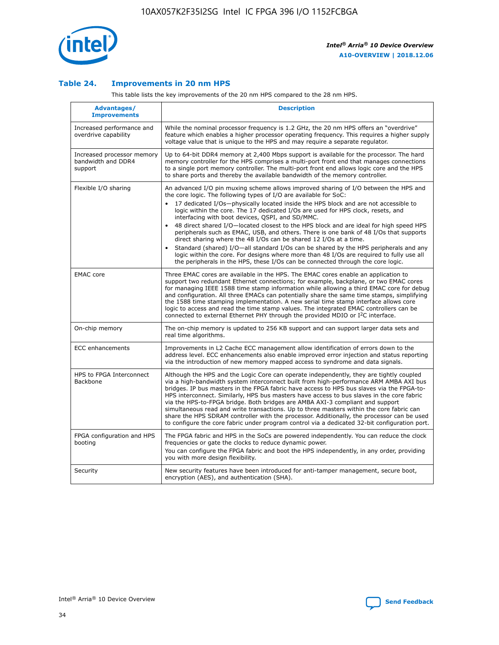![](_page_34_Picture_1.jpeg)

## **Table 24. Improvements in 20 nm HPS**

This table lists the key improvements of the 20 nm HPS compared to the 28 nm HPS.

| Advantages/<br><b>Improvements</b>                          | <b>Description</b>                                                                                                                                                                                                                                                                                                                                                                                                                                                                                                                                                                                                                                                                                                                                                                                                                                                                                                                   |
|-------------------------------------------------------------|--------------------------------------------------------------------------------------------------------------------------------------------------------------------------------------------------------------------------------------------------------------------------------------------------------------------------------------------------------------------------------------------------------------------------------------------------------------------------------------------------------------------------------------------------------------------------------------------------------------------------------------------------------------------------------------------------------------------------------------------------------------------------------------------------------------------------------------------------------------------------------------------------------------------------------------|
| Increased performance and<br>overdrive capability           | While the nominal processor frequency is 1.2 GHz, the 20 nm HPS offers an "overdrive"<br>feature which enables a higher processor operating frequency. This requires a higher supply<br>voltage value that is unique to the HPS and may require a separate requlator.                                                                                                                                                                                                                                                                                                                                                                                                                                                                                                                                                                                                                                                                |
| Increased processor memory<br>bandwidth and DDR4<br>support | Up to 64-bit DDR4 memory at 2,400 Mbps support is available for the processor. The hard<br>memory controller for the HPS comprises a multi-port front end that manages connections<br>to a single port memory controller. The multi-port front end allows logic core and the HPS<br>to share ports and thereby the available bandwidth of the memory controller.                                                                                                                                                                                                                                                                                                                                                                                                                                                                                                                                                                     |
| Flexible I/O sharing                                        | An advanced I/O pin muxing scheme allows improved sharing of I/O between the HPS and<br>the core logic. The following types of I/O are available for SoC:<br>17 dedicated I/Os-physically located inside the HPS block and are not accessible to<br>logic within the core. The 17 dedicated I/Os are used for HPS clock, resets, and<br>interfacing with boot devices, QSPI, and SD/MMC.<br>48 direct shared I/O-located closest to the HPS block and are ideal for high speed HPS<br>peripherals such as EMAC, USB, and others. There is one bank of 48 I/Os that supports<br>direct sharing where the 48 I/Os can be shared 12 I/Os at a time.<br>Standard (shared) I/O-all standard I/Os can be shared by the HPS peripherals and any<br>$\bullet$<br>logic within the core. For designs where more than 48 I/Os are required to fully use all<br>the peripherals in the HPS, these I/Os can be connected through the core logic. |
| <b>EMAC</b> core                                            | Three EMAC cores are available in the HPS. The EMAC cores enable an application to<br>support two redundant Ethernet connections; for example, backplane, or two EMAC cores<br>for managing IEEE 1588 time stamp information while allowing a third EMAC core for debug<br>and configuration. All three EMACs can potentially share the same time stamps, simplifying<br>the 1588 time stamping implementation. A new serial time stamp interface allows core<br>logic to access and read the time stamp values. The integrated EMAC controllers can be<br>connected to external Ethernet PHY through the provided MDIO or I <sup>2</sup> C interface.                                                                                                                                                                                                                                                                               |
| On-chip memory                                              | The on-chip memory is updated to 256 KB support and can support larger data sets and<br>real time algorithms.                                                                                                                                                                                                                                                                                                                                                                                                                                                                                                                                                                                                                                                                                                                                                                                                                        |
| <b>ECC</b> enhancements                                     | Improvements in L2 Cache ECC management allow identification of errors down to the<br>address level. ECC enhancements also enable improved error injection and status reporting<br>via the introduction of new memory mapped access to syndrome and data signals.                                                                                                                                                                                                                                                                                                                                                                                                                                                                                                                                                                                                                                                                    |
| HPS to FPGA Interconnect<br>Backbone                        | Although the HPS and the Logic Core can operate independently, they are tightly coupled<br>via a high-bandwidth system interconnect built from high-performance ARM AMBA AXI bus<br>bridges. IP bus masters in the FPGA fabric have access to HPS bus slaves via the FPGA-to-<br>HPS interconnect. Similarly, HPS bus masters have access to bus slaves in the core fabric<br>via the HPS-to-FPGA bridge. Both bridges are AMBA AXI-3 compliant and support<br>simultaneous read and write transactions. Up to three masters within the core fabric can<br>share the HPS SDRAM controller with the processor. Additionally, the processor can be used<br>to configure the core fabric under program control via a dedicated 32-bit configuration port.                                                                                                                                                                               |
| FPGA configuration and HPS<br>booting                       | The FPGA fabric and HPS in the SoCs are powered independently. You can reduce the clock<br>frequencies or gate the clocks to reduce dynamic power.<br>You can configure the FPGA fabric and boot the HPS independently, in any order, providing<br>you with more design flexibility.                                                                                                                                                                                                                                                                                                                                                                                                                                                                                                                                                                                                                                                 |
| Security                                                    | New security features have been introduced for anti-tamper management, secure boot,<br>encryption (AES), and authentication (SHA).                                                                                                                                                                                                                                                                                                                                                                                                                                                                                                                                                                                                                                                                                                                                                                                                   |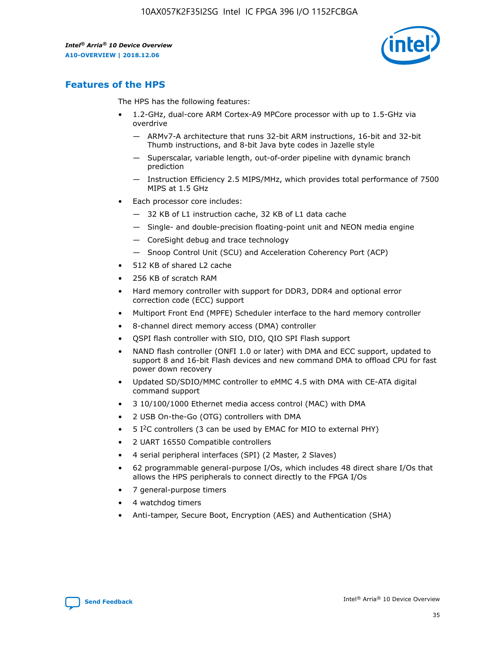![](_page_35_Picture_2.jpeg)

# **Features of the HPS**

The HPS has the following features:

- 1.2-GHz, dual-core ARM Cortex-A9 MPCore processor with up to 1.5-GHz via overdrive
	- ARMv7-A architecture that runs 32-bit ARM instructions, 16-bit and 32-bit Thumb instructions, and 8-bit Java byte codes in Jazelle style
	- Superscalar, variable length, out-of-order pipeline with dynamic branch prediction
	- Instruction Efficiency 2.5 MIPS/MHz, which provides total performance of 7500 MIPS at 1.5 GHz
- Each processor core includes:
	- 32 KB of L1 instruction cache, 32 KB of L1 data cache
	- Single- and double-precision floating-point unit and NEON media engine
	- CoreSight debug and trace technology
	- Snoop Control Unit (SCU) and Acceleration Coherency Port (ACP)
- 512 KB of shared L2 cache
- 256 KB of scratch RAM
- Hard memory controller with support for DDR3, DDR4 and optional error correction code (ECC) support
- Multiport Front End (MPFE) Scheduler interface to the hard memory controller
- 8-channel direct memory access (DMA) controller
- QSPI flash controller with SIO, DIO, QIO SPI Flash support
- NAND flash controller (ONFI 1.0 or later) with DMA and ECC support, updated to support 8 and 16-bit Flash devices and new command DMA to offload CPU for fast power down recovery
- Updated SD/SDIO/MMC controller to eMMC 4.5 with DMA with CE-ATA digital command support
- 3 10/100/1000 Ethernet media access control (MAC) with DMA
- 2 USB On-the-Go (OTG) controllers with DMA
- $\bullet$  5 I<sup>2</sup>C controllers (3 can be used by EMAC for MIO to external PHY)
- 2 UART 16550 Compatible controllers
- 4 serial peripheral interfaces (SPI) (2 Master, 2 Slaves)
- 62 programmable general-purpose I/Os, which includes 48 direct share I/Os that allows the HPS peripherals to connect directly to the FPGA I/Os
- 7 general-purpose timers
- 4 watchdog timers
- Anti-tamper, Secure Boot, Encryption (AES) and Authentication (SHA)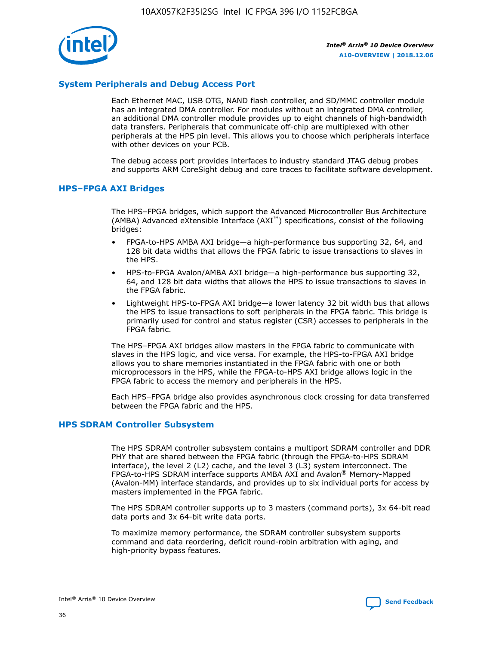![](_page_36_Picture_1.jpeg)

# **System Peripherals and Debug Access Port**

Each Ethernet MAC, USB OTG, NAND flash controller, and SD/MMC controller module has an integrated DMA controller. For modules without an integrated DMA controller, an additional DMA controller module provides up to eight channels of high-bandwidth data transfers. Peripherals that communicate off-chip are multiplexed with other peripherals at the HPS pin level. This allows you to choose which peripherals interface with other devices on your PCB.

The debug access port provides interfaces to industry standard JTAG debug probes and supports ARM CoreSight debug and core traces to facilitate software development.

## **HPS–FPGA AXI Bridges**

The HPS–FPGA bridges, which support the Advanced Microcontroller Bus Architecture (AMBA) Advanced eXtensible Interface (AXI™) specifications, consist of the following bridges:

- FPGA-to-HPS AMBA AXI bridge—a high-performance bus supporting 32, 64, and 128 bit data widths that allows the FPGA fabric to issue transactions to slaves in the HPS.
- HPS-to-FPGA Avalon/AMBA AXI bridge—a high-performance bus supporting 32, 64, and 128 bit data widths that allows the HPS to issue transactions to slaves in the FPGA fabric.
- Lightweight HPS-to-FPGA AXI bridge—a lower latency 32 bit width bus that allows the HPS to issue transactions to soft peripherals in the FPGA fabric. This bridge is primarily used for control and status register (CSR) accesses to peripherals in the FPGA fabric.

The HPS–FPGA AXI bridges allow masters in the FPGA fabric to communicate with slaves in the HPS logic, and vice versa. For example, the HPS-to-FPGA AXI bridge allows you to share memories instantiated in the FPGA fabric with one or both microprocessors in the HPS, while the FPGA-to-HPS AXI bridge allows logic in the FPGA fabric to access the memory and peripherals in the HPS.

Each HPS–FPGA bridge also provides asynchronous clock crossing for data transferred between the FPGA fabric and the HPS.

#### **HPS SDRAM Controller Subsystem**

The HPS SDRAM controller subsystem contains a multiport SDRAM controller and DDR PHY that are shared between the FPGA fabric (through the FPGA-to-HPS SDRAM interface), the level 2 (L2) cache, and the level 3 (L3) system interconnect. The FPGA-to-HPS SDRAM interface supports AMBA AXI and Avalon® Memory-Mapped (Avalon-MM) interface standards, and provides up to six individual ports for access by masters implemented in the FPGA fabric.

The HPS SDRAM controller supports up to 3 masters (command ports), 3x 64-bit read data ports and 3x 64-bit write data ports.

To maximize memory performance, the SDRAM controller subsystem supports command and data reordering, deficit round-robin arbitration with aging, and high-priority bypass features.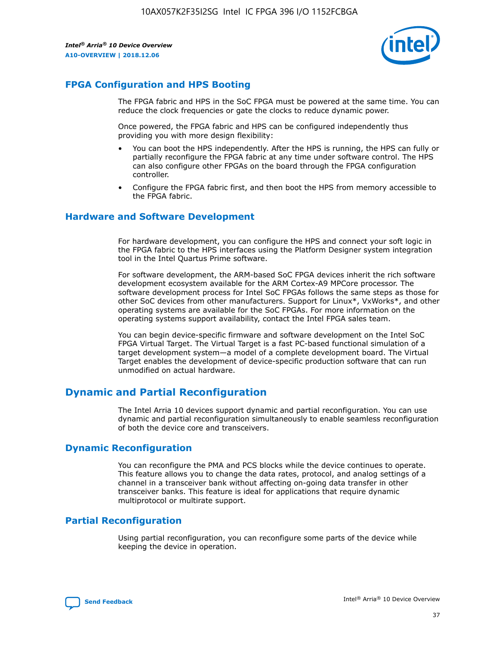![](_page_37_Picture_2.jpeg)

# **FPGA Configuration and HPS Booting**

The FPGA fabric and HPS in the SoC FPGA must be powered at the same time. You can reduce the clock frequencies or gate the clocks to reduce dynamic power.

Once powered, the FPGA fabric and HPS can be configured independently thus providing you with more design flexibility:

- You can boot the HPS independently. After the HPS is running, the HPS can fully or partially reconfigure the FPGA fabric at any time under software control. The HPS can also configure other FPGAs on the board through the FPGA configuration controller.
- Configure the FPGA fabric first, and then boot the HPS from memory accessible to the FPGA fabric.

## **Hardware and Software Development**

For hardware development, you can configure the HPS and connect your soft logic in the FPGA fabric to the HPS interfaces using the Platform Designer system integration tool in the Intel Quartus Prime software.

For software development, the ARM-based SoC FPGA devices inherit the rich software development ecosystem available for the ARM Cortex-A9 MPCore processor. The software development process for Intel SoC FPGAs follows the same steps as those for other SoC devices from other manufacturers. Support for Linux\*, VxWorks\*, and other operating systems are available for the SoC FPGAs. For more information on the operating systems support availability, contact the Intel FPGA sales team.

You can begin device-specific firmware and software development on the Intel SoC FPGA Virtual Target. The Virtual Target is a fast PC-based functional simulation of a target development system—a model of a complete development board. The Virtual Target enables the development of device-specific production software that can run unmodified on actual hardware.

# **Dynamic and Partial Reconfiguration**

The Intel Arria 10 devices support dynamic and partial reconfiguration. You can use dynamic and partial reconfiguration simultaneously to enable seamless reconfiguration of both the device core and transceivers.

# **Dynamic Reconfiguration**

You can reconfigure the PMA and PCS blocks while the device continues to operate. This feature allows you to change the data rates, protocol, and analog settings of a channel in a transceiver bank without affecting on-going data transfer in other transceiver banks. This feature is ideal for applications that require dynamic multiprotocol or multirate support.

# **Partial Reconfiguration**

Using partial reconfiguration, you can reconfigure some parts of the device while keeping the device in operation.

![](_page_37_Picture_18.jpeg)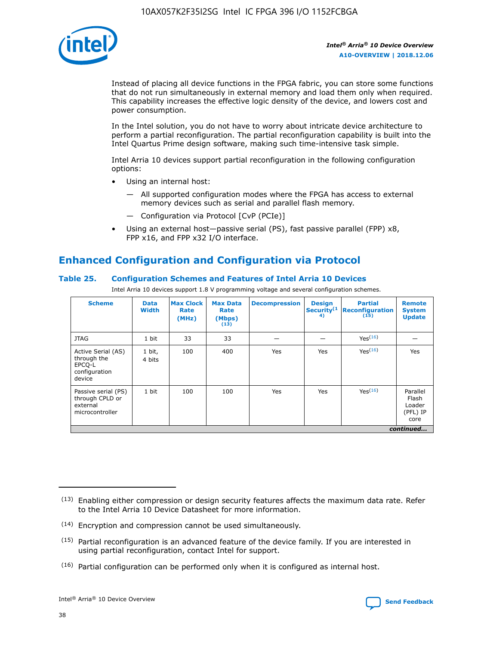![](_page_38_Picture_1.jpeg)

Instead of placing all device functions in the FPGA fabric, you can store some functions that do not run simultaneously in external memory and load them only when required. This capability increases the effective logic density of the device, and lowers cost and power consumption.

In the Intel solution, you do not have to worry about intricate device architecture to perform a partial reconfiguration. The partial reconfiguration capability is built into the Intel Quartus Prime design software, making such time-intensive task simple.

Intel Arria 10 devices support partial reconfiguration in the following configuration options:

- Using an internal host:
	- All supported configuration modes where the FPGA has access to external memory devices such as serial and parallel flash memory.
	- Configuration via Protocol [CvP (PCIe)]
- Using an external host—passive serial (PS), fast passive parallel (FPP) x8, FPP x16, and FPP x32 I/O interface.

# **Enhanced Configuration and Configuration via Protocol**

# **Table 25. Configuration Schemes and Features of Intel Arria 10 Devices**

Intel Arria 10 devices support 1.8 V programming voltage and several configuration schemes.

| <b>Scheme</b>                                                          | <b>Data</b><br><b>Width</b> | <b>Max Clock</b><br>Rate<br>(MHz) | <b>Max Data</b><br>Rate<br>(Mbps)<br>(13) | <b>Decompression</b> | <b>Design</b><br>Security <sup>(1</sup><br>4) | <b>Partial</b><br>Reconfiguration<br>(15) | <b>Remote</b><br><b>System</b><br><b>Update</b> |
|------------------------------------------------------------------------|-----------------------------|-----------------------------------|-------------------------------------------|----------------------|-----------------------------------------------|-------------------------------------------|-------------------------------------------------|
| <b>JTAG</b>                                                            | 1 bit                       | 33                                | 33                                        |                      |                                               | Yes(16)                                   |                                                 |
| Active Serial (AS)<br>through the<br>EPCO-L<br>configuration<br>device | 1 bit,<br>4 bits            | 100                               | 400                                       | Yes                  | Yes                                           | Yes(16)                                   | Yes                                             |
| Passive serial (PS)<br>through CPLD or<br>external<br>microcontroller  | 1 bit                       | 100                               | 100                                       | Yes                  | Yes                                           | Yes <sup>(16)</sup>                       | Parallel<br>Flash<br>Loader<br>(PFL) IP<br>core |
|                                                                        |                             |                                   |                                           |                      |                                               |                                           | continued                                       |

<sup>(13)</sup> Enabling either compression or design security features affects the maximum data rate. Refer to the Intel Arria 10 Device Datasheet for more information.

<sup>(14)</sup> Encryption and compression cannot be used simultaneously.

 $(15)$  Partial reconfiguration is an advanced feature of the device family. If you are interested in using partial reconfiguration, contact Intel for support.

 $(16)$  Partial configuration can be performed only when it is configured as internal host.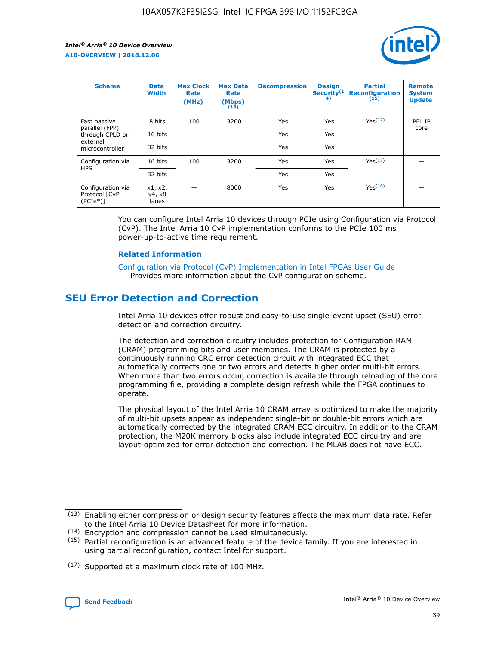![](_page_39_Picture_2.jpeg)

| <b>Scheme</b>                                   | <b>Data</b><br><b>Width</b> | <b>Max Clock</b><br>Rate<br>(MHz) | <b>Max Data</b><br>Rate<br>(Mbps)<br>(13) | <b>Decompression</b> | <b>Design</b><br>Security <sup>(1</sup><br>4) | <b>Partial</b><br><b>Reconfiguration</b><br>(15) | <b>Remote</b><br><b>System</b><br><b>Update</b> |
|-------------------------------------------------|-----------------------------|-----------------------------------|-------------------------------------------|----------------------|-----------------------------------------------|--------------------------------------------------|-------------------------------------------------|
| Fast passive                                    | 8 bits                      | 100                               | 3200                                      | Yes                  | Yes                                           | Yes(17)                                          | PFL IP                                          |
| parallel (FPP)<br>through CPLD or               | 16 bits                     |                                   |                                           | Yes                  | Yes                                           |                                                  | core                                            |
| external<br>microcontroller                     | 32 bits                     |                                   |                                           | Yes                  | Yes                                           |                                                  |                                                 |
| Configuration via                               | 16 bits                     | 100                               | 3200                                      | Yes                  | Yes                                           | Yes <sup>(17)</sup>                              |                                                 |
| <b>HPS</b>                                      | 32 bits                     |                                   |                                           | Yes                  | Yes                                           |                                                  |                                                 |
| Configuration via<br>Protocol [CvP<br>$(PCIe*)$ | x1, x2,<br>x4, x8<br>lanes  |                                   | 8000                                      | Yes                  | Yes                                           | Yes <sup>(16)</sup>                              |                                                 |

You can configure Intel Arria 10 devices through PCIe using Configuration via Protocol (CvP). The Intel Arria 10 CvP implementation conforms to the PCIe 100 ms power-up-to-active time requirement.

#### **Related Information**

[Configuration via Protocol \(CvP\) Implementation in Intel FPGAs User Guide](https://www.intel.com/content/www/us/en/programmable/documentation/dsu1441819344145.html#dsu1442269728522) Provides more information about the CvP configuration scheme.

# **SEU Error Detection and Correction**

Intel Arria 10 devices offer robust and easy-to-use single-event upset (SEU) error detection and correction circuitry.

The detection and correction circuitry includes protection for Configuration RAM (CRAM) programming bits and user memories. The CRAM is protected by a continuously running CRC error detection circuit with integrated ECC that automatically corrects one or two errors and detects higher order multi-bit errors. When more than two errors occur, correction is available through reloading of the core programming file, providing a complete design refresh while the FPGA continues to operate.

The physical layout of the Intel Arria 10 CRAM array is optimized to make the majority of multi-bit upsets appear as independent single-bit or double-bit errors which are automatically corrected by the integrated CRAM ECC circuitry. In addition to the CRAM protection, the M20K memory blocks also include integrated ECC circuitry and are layout-optimized for error detection and correction. The MLAB does not have ECC.

(14) Encryption and compression cannot be used simultaneously.

<sup>(17)</sup> Supported at a maximum clock rate of 100 MHz.

![](_page_39_Picture_15.jpeg)

 $(13)$  Enabling either compression or design security features affects the maximum data rate. Refer to the Intel Arria 10 Device Datasheet for more information.

 $(15)$  Partial reconfiguration is an advanced feature of the device family. If you are interested in using partial reconfiguration, contact Intel for support.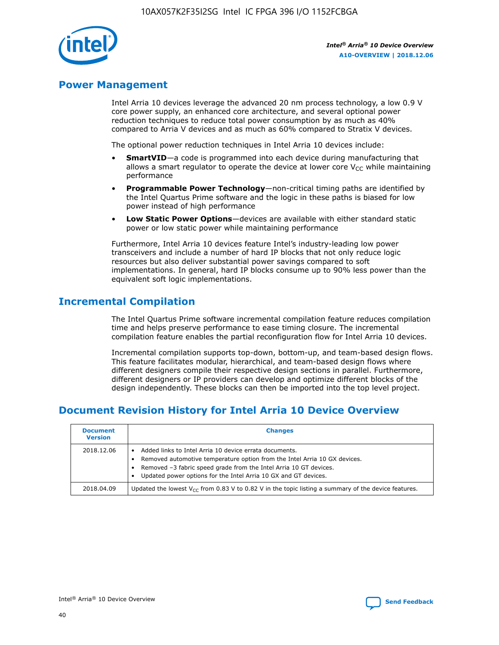![](_page_40_Picture_1.jpeg)

# **Power Management**

Intel Arria 10 devices leverage the advanced 20 nm process technology, a low 0.9 V core power supply, an enhanced core architecture, and several optional power reduction techniques to reduce total power consumption by as much as 40% compared to Arria V devices and as much as 60% compared to Stratix V devices.

The optional power reduction techniques in Intel Arria 10 devices include:

- **SmartVID**—a code is programmed into each device during manufacturing that allows a smart regulator to operate the device at lower core  $V_{CC}$  while maintaining performance
- **Programmable Power Technology**—non-critical timing paths are identified by the Intel Quartus Prime software and the logic in these paths is biased for low power instead of high performance
- **Low Static Power Options**—devices are available with either standard static power or low static power while maintaining performance

Furthermore, Intel Arria 10 devices feature Intel's industry-leading low power transceivers and include a number of hard IP blocks that not only reduce logic resources but also deliver substantial power savings compared to soft implementations. In general, hard IP blocks consume up to 90% less power than the equivalent soft logic implementations.

# **Incremental Compilation**

The Intel Quartus Prime software incremental compilation feature reduces compilation time and helps preserve performance to ease timing closure. The incremental compilation feature enables the partial reconfiguration flow for Intel Arria 10 devices.

Incremental compilation supports top-down, bottom-up, and team-based design flows. This feature facilitates modular, hierarchical, and team-based design flows where different designers compile their respective design sections in parallel. Furthermore, different designers or IP providers can develop and optimize different blocks of the design independently. These blocks can then be imported into the top level project.

# **Document Revision History for Intel Arria 10 Device Overview**

| <b>Document</b><br><b>Version</b> | <b>Changes</b>                                                                                                                                                                                                                                                              |
|-----------------------------------|-----------------------------------------------------------------------------------------------------------------------------------------------------------------------------------------------------------------------------------------------------------------------------|
| 2018.12.06                        | Added links to Intel Arria 10 device errata documents.<br>Removed automotive temperature option from the Intel Arria 10 GX devices.<br>Removed -3 fabric speed grade from the Intel Arria 10 GT devices.<br>Updated power options for the Intel Arria 10 GX and GT devices. |
| 2018.04.09                        | Updated the lowest $V_{CC}$ from 0.83 V to 0.82 V in the topic listing a summary of the device features.                                                                                                                                                                    |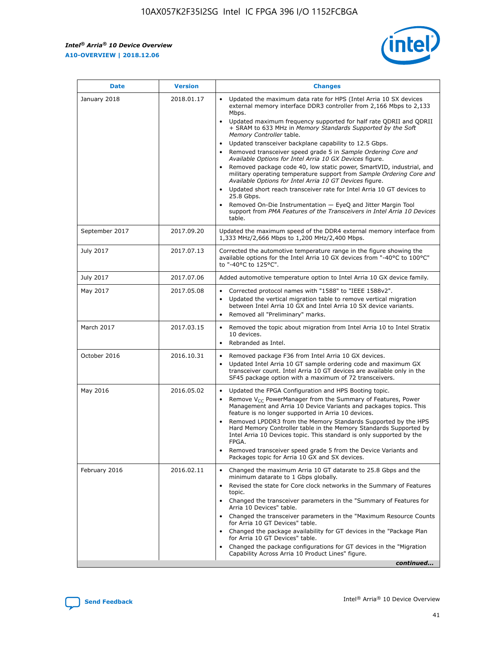*Intel® Arria® 10 Device Overview* **A10-OVERVIEW | 2018.12.06**

![](_page_41_Picture_2.jpeg)

| <b>Date</b>    | <b>Version</b> | <b>Changes</b>                                                                                                                                                                                                                                                                                                                                                                                                                                                                                                                                                                                                                                                                                                                                                                                                                                                                                                                                                            |
|----------------|----------------|---------------------------------------------------------------------------------------------------------------------------------------------------------------------------------------------------------------------------------------------------------------------------------------------------------------------------------------------------------------------------------------------------------------------------------------------------------------------------------------------------------------------------------------------------------------------------------------------------------------------------------------------------------------------------------------------------------------------------------------------------------------------------------------------------------------------------------------------------------------------------------------------------------------------------------------------------------------------------|
| January 2018   | 2018.01.17     | Updated the maximum data rate for HPS (Intel Arria 10 SX devices<br>external memory interface DDR3 controller from 2,166 Mbps to 2,133<br>Mbps.<br>Updated maximum frequency supported for half rate QDRII and QDRII<br>+ SRAM to 633 MHz in Memory Standards Supported by the Soft<br>Memory Controller table.<br>Updated transceiver backplane capability to 12.5 Gbps.<br>$\bullet$<br>Removed transceiver speed grade 5 in Sample Ordering Core and<br>Available Options for Intel Arria 10 GX Devices figure.<br>Removed package code 40, low static power, SmartVID, industrial, and<br>military operating temperature support from Sample Ordering Core and<br>Available Options for Intel Arria 10 GT Devices figure.<br>Updated short reach transceiver rate for Intel Arria 10 GT devices to<br>25.8 Gbps.<br>Removed On-Die Instrumentation - EyeQ and Jitter Margin Tool<br>support from PMA Features of the Transceivers in Intel Arria 10 Devices<br>table. |
| September 2017 | 2017.09.20     | Updated the maximum speed of the DDR4 external memory interface from<br>1,333 MHz/2,666 Mbps to 1,200 MHz/2,400 Mbps.                                                                                                                                                                                                                                                                                                                                                                                                                                                                                                                                                                                                                                                                                                                                                                                                                                                     |
| July 2017      | 2017.07.13     | Corrected the automotive temperature range in the figure showing the<br>available options for the Intel Arria 10 GX devices from "-40°C to 100°C"<br>to "-40°C to 125°C".                                                                                                                                                                                                                                                                                                                                                                                                                                                                                                                                                                                                                                                                                                                                                                                                 |
| July 2017      | 2017.07.06     | Added automotive temperature option to Intel Arria 10 GX device family.                                                                                                                                                                                                                                                                                                                                                                                                                                                                                                                                                                                                                                                                                                                                                                                                                                                                                                   |
| May 2017       | 2017.05.08     | Corrected protocol names with "1588" to "IEEE 1588v2".<br>Updated the vertical migration table to remove vertical migration<br>between Intel Arria 10 GX and Intel Arria 10 SX device variants.<br>Removed all "Preliminary" marks.                                                                                                                                                                                                                                                                                                                                                                                                                                                                                                                                                                                                                                                                                                                                       |
| March 2017     | 2017.03.15     | Removed the topic about migration from Intel Arria 10 to Intel Stratix<br>10 devices.<br>Rebranded as Intel.<br>$\bullet$                                                                                                                                                                                                                                                                                                                                                                                                                                                                                                                                                                                                                                                                                                                                                                                                                                                 |
| October 2016   | 2016.10.31     | Removed package F36 from Intel Arria 10 GX devices.<br>Updated Intel Arria 10 GT sample ordering code and maximum GX<br>$\bullet$<br>transceiver count. Intel Arria 10 GT devices are available only in the<br>SF45 package option with a maximum of 72 transceivers.                                                                                                                                                                                                                                                                                                                                                                                                                                                                                                                                                                                                                                                                                                     |
| May 2016       | 2016.05.02     | Updated the FPGA Configuration and HPS Booting topic.<br>Remove V <sub>CC</sub> PowerManager from the Summary of Features, Power<br>Management and Arria 10 Device Variants and packages topics. This<br>feature is no longer supported in Arria 10 devices.<br>Removed LPDDR3 from the Memory Standards Supported by the HPS<br>Hard Memory Controller table in the Memory Standards Supported by<br>Intel Arria 10 Devices topic. This standard is only supported by the<br>FPGA.<br>Removed transceiver speed grade 5 from the Device Variants and<br>Packages topic for Arria 10 GX and SX devices.                                                                                                                                                                                                                                                                                                                                                                   |
| February 2016  | 2016.02.11     | Changed the maximum Arria 10 GT datarate to 25.8 Gbps and the<br>minimum datarate to 1 Gbps globally.<br>Revised the state for Core clock networks in the Summary of Features<br>$\bullet$<br>topic.<br>Changed the transceiver parameters in the "Summary of Features for<br>Arria 10 Devices" table.<br>• Changed the transceiver parameters in the "Maximum Resource Counts<br>for Arria 10 GT Devices" table.<br>• Changed the package availability for GT devices in the "Package Plan<br>for Arria 10 GT Devices" table.<br>Changed the package configurations for GT devices in the "Migration"<br>Capability Across Arria 10 Product Lines" figure.<br>continued                                                                                                                                                                                                                                                                                                  |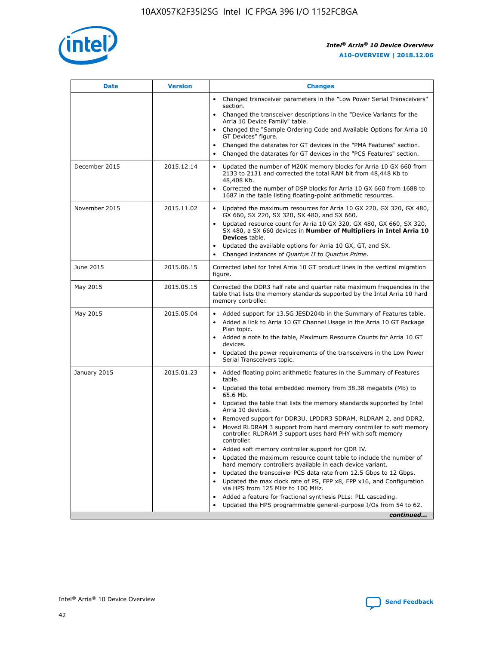![](_page_42_Picture_1.jpeg)

| <b>Date</b>   | <b>Version</b> | <b>Changes</b>                                                                                                                                                               |
|---------------|----------------|------------------------------------------------------------------------------------------------------------------------------------------------------------------------------|
|               |                | Changed transceiver parameters in the "Low Power Serial Transceivers"<br>$\bullet$<br>section.                                                                               |
|               |                | • Changed the transceiver descriptions in the "Device Variants for the<br>Arria 10 Device Family" table.                                                                     |
|               |                | • Changed the "Sample Ordering Code and Available Options for Arria 10<br>GT Devices" figure.                                                                                |
|               |                | Changed the datarates for GT devices in the "PMA Features" section.                                                                                                          |
|               |                | Changed the datarates for GT devices in the "PCS Features" section.<br>$\bullet$                                                                                             |
| December 2015 | 2015.12.14     | Updated the number of M20K memory blocks for Arria 10 GX 660 from<br>2133 to 2131 and corrected the total RAM bit from 48,448 Kb to<br>48,408 Kb.                            |
|               |                | Corrected the number of DSP blocks for Arria 10 GX 660 from 1688 to<br>$\bullet$<br>1687 in the table listing floating-point arithmetic resources.                           |
| November 2015 | 2015.11.02     | Updated the maximum resources for Arria 10 GX 220, GX 320, GX 480,<br>GX 660, SX 220, SX 320, SX 480, and SX 660.                                                            |
|               |                | Updated resource count for Arria 10 GX 320, GX 480, GX 660, SX 320,<br>SX 480, a SX 660 devices in Number of Multipliers in Intel Arria 10<br><b>Devices</b> table.          |
|               |                | Updated the available options for Arria 10 GX, GT, and SX.<br>$\bullet$                                                                                                      |
|               |                | Changed instances of Quartus II to Quartus Prime.<br>$\bullet$                                                                                                               |
| June 2015     | 2015.06.15     | Corrected label for Intel Arria 10 GT product lines in the vertical migration<br>figure.                                                                                     |
| May 2015      | 2015.05.15     | Corrected the DDR3 half rate and quarter rate maximum frequencies in the<br>table that lists the memory standards supported by the Intel Arria 10 hard<br>memory controller. |
| May 2015      | 2015.05.04     | • Added support for 13.5G JESD204b in the Summary of Features table.                                                                                                         |
|               |                | Added a link to Arria 10 GT Channel Usage in the Arria 10 GT Package<br>$\bullet$<br>Plan topic.                                                                             |
|               |                | • Added a note to the table, Maximum Resource Counts for Arria 10 GT<br>devices.                                                                                             |
|               |                | • Updated the power requirements of the transceivers in the Low Power<br>Serial Transceivers topic.                                                                          |
| January 2015  | 2015.01.23     | • Added floating point arithmetic features in the Summary of Features<br>table.                                                                                              |
|               |                | • Updated the total embedded memory from 38.38 megabits (Mb) to<br>65.6 Mb.                                                                                                  |
|               |                | • Updated the table that lists the memory standards supported by Intel<br>Arria 10 devices.                                                                                  |
|               |                | Removed support for DDR3U, LPDDR3 SDRAM, RLDRAM 2, and DDR2.                                                                                                                 |
|               |                | Moved RLDRAM 3 support from hard memory controller to soft memory<br>controller. RLDRAM 3 support uses hard PHY with soft memory<br>controller.                              |
|               |                | Added soft memory controller support for QDR IV.                                                                                                                             |
|               |                | Updated the maximum resource count table to include the number of<br>hard memory controllers available in each device variant.                                               |
|               |                | Updated the transceiver PCS data rate from 12.5 Gbps to 12 Gbps.                                                                                                             |
|               |                | Updated the max clock rate of PS, FPP x8, FPP x16, and Configuration<br>via HPS from 125 MHz to 100 MHz.                                                                     |
|               |                | Added a feature for fractional synthesis PLLs: PLL cascading.                                                                                                                |
|               |                | Updated the HPS programmable general-purpose I/Os from 54 to 62.<br>$\bullet$                                                                                                |
|               |                | continued                                                                                                                                                                    |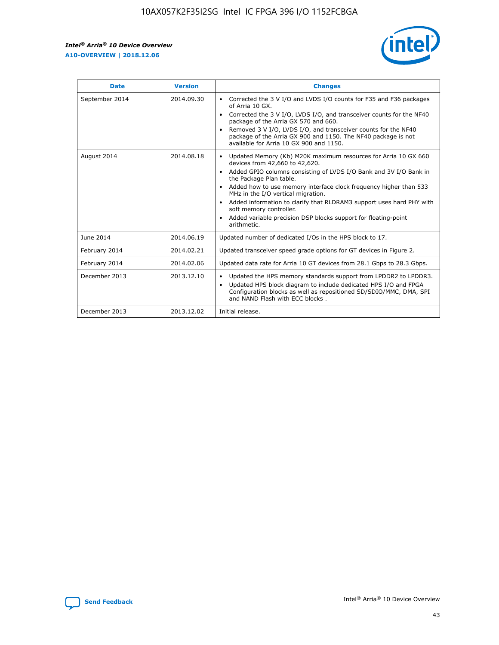r

![](_page_43_Picture_2.jpeg)

| <b>Date</b>    | <b>Version</b> | <b>Changes</b>                                                                                                                                                                                                                                                                                                                                                                                                                                                                                                                                      |
|----------------|----------------|-----------------------------------------------------------------------------------------------------------------------------------------------------------------------------------------------------------------------------------------------------------------------------------------------------------------------------------------------------------------------------------------------------------------------------------------------------------------------------------------------------------------------------------------------------|
| September 2014 | 2014.09.30     | Corrected the 3 V I/O and LVDS I/O counts for F35 and F36 packages<br>$\bullet$<br>of Arria 10 GX.<br>Corrected the 3 V I/O, LVDS I/O, and transceiver counts for the NF40<br>$\bullet$<br>package of the Arria GX 570 and 660.<br>Removed 3 V I/O, LVDS I/O, and transceiver counts for the NF40<br>$\bullet$<br>package of the Arria GX 900 and 1150. The NF40 package is not<br>available for Arria 10 GX 900 and 1150.                                                                                                                          |
| August 2014    | 2014.08.18     | Updated Memory (Kb) M20K maximum resources for Arria 10 GX 660<br>devices from 42,660 to 42,620.<br>Added GPIO columns consisting of LVDS I/O Bank and 3V I/O Bank in<br>$\bullet$<br>the Package Plan table.<br>Added how to use memory interface clock frequency higher than 533<br>$\bullet$<br>MHz in the I/O vertical migration.<br>Added information to clarify that RLDRAM3 support uses hard PHY with<br>$\bullet$<br>soft memory controller.<br>Added variable precision DSP blocks support for floating-point<br>$\bullet$<br>arithmetic. |
| June 2014      | 2014.06.19     | Updated number of dedicated I/Os in the HPS block to 17.                                                                                                                                                                                                                                                                                                                                                                                                                                                                                            |
| February 2014  | 2014.02.21     | Updated transceiver speed grade options for GT devices in Figure 2.                                                                                                                                                                                                                                                                                                                                                                                                                                                                                 |
| February 2014  | 2014.02.06     | Updated data rate for Arria 10 GT devices from 28.1 Gbps to 28.3 Gbps.                                                                                                                                                                                                                                                                                                                                                                                                                                                                              |
| December 2013  | 2013.12.10     | Updated the HPS memory standards support from LPDDR2 to LPDDR3.<br>Updated HPS block diagram to include dedicated HPS I/O and FPGA<br>$\bullet$<br>Configuration blocks as well as repositioned SD/SDIO/MMC, DMA, SPI<br>and NAND Flash with ECC blocks.                                                                                                                                                                                                                                                                                            |
| December 2013  | 2013.12.02     | Initial release.                                                                                                                                                                                                                                                                                                                                                                                                                                                                                                                                    |

![](_page_43_Picture_4.jpeg)